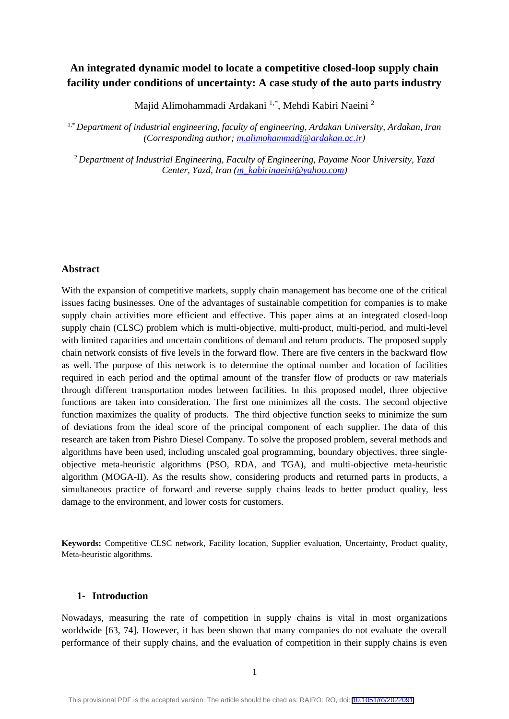# **An integrated dynamic model to locate a competitive closed-loop supply chain facility under conditions of uncertainty: A case study of the auto parts industry**

Majid Alimohammadi Ardakani 1,\*, Mehdi Kabiri Naeini <sup>2</sup>

1,\* *Department of industrial engineering, faculty of engineering, Ardakan University, Ardakan, Iran (Corresponding author; [m.alimohammadi@ardakan.ac.ir\)](mailto:m.alimohammadi@ardakan.ac.ir)*

<sup>2</sup> Department of Industrial Engineering, Faculty of Engineering, Payame Noor University, Yazd *Center, Yazd, Iran (m\_kabirinaeini@yahoo.com)*

# **Abstract**

With the expansion of competitive markets, supply chain management has become one of the critical issues facing businesses. One of the advantages of sustainable competition for companies is to make supply chain activities more efficient and effective. This paper aims at an integrated closed-loop supply chain (CLSC) problem which is multi-objective, multi-product, multi-period, and multi-level with limited capacities and uncertain conditions of demand and return products. The proposed supply chain network consists of five levels in the forward flow. There are five centers in the backward flow as well. The purpose of this network is to determine the optimal number and location of facilities required in each period and the optimal amount of the transfer flow of products or raw materials through different transportation modes between facilities. In this proposed model, three objective functions are taken into consideration. The first one minimizes all the costs. The second objective function maximizes the quality of products. The third objective function seeks to minimize the sum of deviations from the ideal score of the principal component of each supplier. The data of this research are taken from Pishro Diesel Company. To solve the proposed problem, several methods and algorithms have been used, including unscaled goal programming, boundary objectives, three singleobjective meta-heuristic algorithms (PSO, RDA, and TGA), and multi-objective meta-heuristic algorithm (MOGA-II). As the results show, considering products and returned parts in products, a simultaneous practice of forward and reverse supply chains leads to better product quality, less damage to the environment, and lower costs for customers.

**Keywords:** Competitive CLSC network, Facility location, Supplier evaluation, Uncertainty, Product quality, Meta-heuristic algorithms.

# **1- Introduction**

Nowadays, measuring the rate of competition in supply chains is vital in most organizations worldwide [63, 74]. However, it has been shown that many companies do not evaluate the overall performance of their supply chains, and the evaluation of competition in their supply chains is even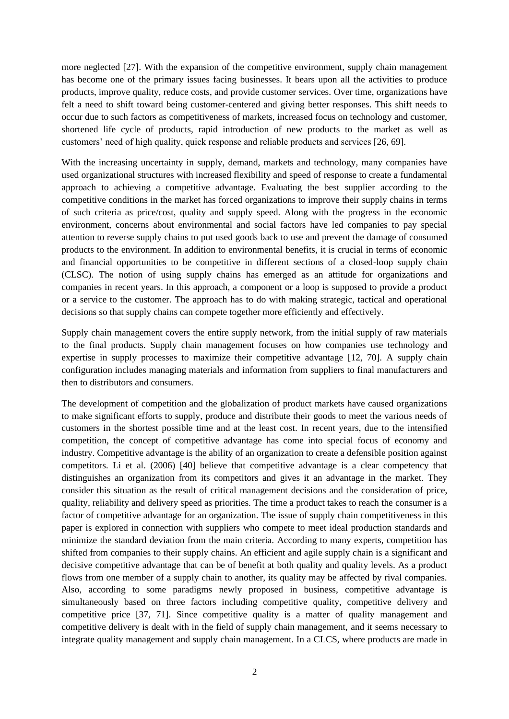more neglected [27]. With the expansion of the competitive environment, supply chain management has become one of the primary issues facing businesses. It bears upon all the activities to produce products, improve quality, reduce costs, and provide customer services. Over time, organizations have felt a need to shift toward being customer-centered and giving better responses. This shift needs to occur due to such factors as competitiveness of markets, increased focus on technology and customer, shortened life cycle of products, rapid introduction of new products to the market as well as customers' need of high quality, quick response and reliable products and services [26, 69].

With the increasing uncertainty in supply, demand, markets and technology, many companies have used organizational structures with increased flexibility and speed of response to create a fundamental approach to achieving a competitive advantage. Evaluating the best supplier according to the competitive conditions in the market has forced organizations to improve their supply chains in terms of such criteria as price/cost, quality and supply speed. Along with the progress in the economic environment, concerns about environmental and social factors have led companies to pay special attention to reverse supply chains to put used goods back to use and prevent the damage of consumed products to the environment. In addition to environmental benefits, it is crucial in terms of economic and financial opportunities to be competitive in different sections of a closed-loop supply chain (CLSC). The notion of using supply chains has emerged as an attitude for organizations and companies in recent years. In this approach, a component or a loop is supposed to provide a product or a service to the customer. The approach has to do with making strategic, tactical and operational decisions so that supply chains can compete together more efficiently and effectively.

Supply chain management covers the entire supply network, from the initial supply of raw materials to the final products. Supply chain management focuses on how companies use technology and expertise in supply processes to maximize their competitive advantage [12, 70]. A supply chain configuration includes managing materials and information from suppliers to final manufacturers and then to distributors and consumers.

The development of competition and the globalization of product markets have caused organizations to make significant efforts to supply, produce and distribute their goods to meet the various needs of customers in the shortest possible time and at the least cost. In recent years, due to the intensified competition, the concept of competitive advantage has come into special focus of economy and industry. Competitive advantage is the ability of an organization to create a defensible position against competitors. Li et al. (2006) [40] believe that competitive advantage is a clear competency that distinguishes an organization from its competitors and gives it an advantage in the market. They consider this situation as the result of critical management decisions and the consideration of price, quality, reliability and delivery speed as priorities. The time a product takes to reach the consumer is a factor of competitive advantage for an organization. The issue of supply chain competitiveness in this paper is explored in connection with suppliers who compete to meet ideal production standards and minimize the standard deviation from the main criteria. According to many experts, competition has shifted from companies to their supply chains. An efficient and agile supply chain is a significant and decisive competitive advantage that can be of benefit at both quality and quality levels. As a product flows from one member of a supply chain to another, its quality may be affected by rival companies. Also, according to some paradigms newly proposed in business, competitive advantage is simultaneously based on three factors including competitive quality, competitive delivery and competitive price [37, 71]. Since competitive quality is a matter of quality management and competitive delivery is dealt with in the field of supply chain management, and it seems necessary to integrate quality management and supply chain management. In a CLCS, where products are made in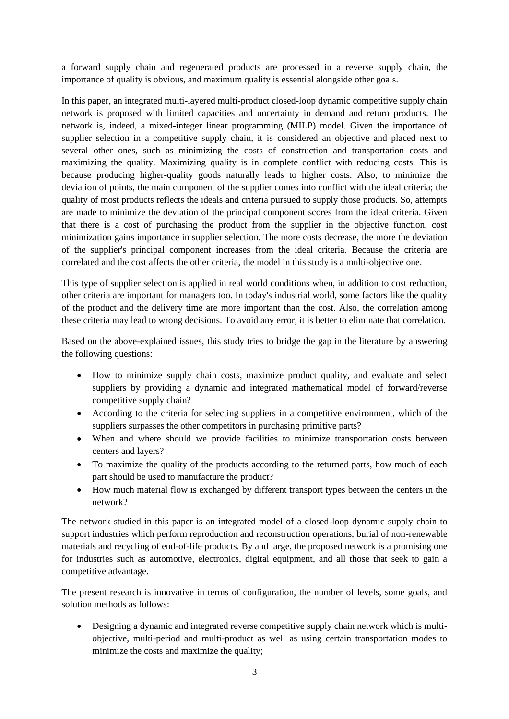a forward supply chain and regenerated products are processed in a reverse supply chain, the importance of quality is obvious, and maximum quality is essential alongside other goals.

In this paper, an integrated multi-layered multi-product closed-loop dynamic competitive supply chain network is proposed with limited capacities and uncertainty in demand and return products. The network is, indeed, a mixed-integer linear programming (MILP) model. Given the importance of supplier selection in a competitive supply chain, it is considered an objective and placed next to several other ones, such as minimizing the costs of construction and transportation costs and maximizing the quality. Maximizing quality is in complete conflict with reducing costs. This is because producing higher-quality goods naturally leads to higher costs. Also, to minimize the deviation of points, the main component of the supplier comes into conflict with the ideal criteria; the quality of most products reflects the ideals and criteria pursued to supply those products. So, attempts are made to minimize the deviation of the principal component scores from the ideal criteria. Given that there is a cost of purchasing the product from the supplier in the objective function, cost minimization gains importance in supplier selection. The more costs decrease, the more the deviation of the supplier's principal component increases from the ideal criteria. Because the criteria are correlated and the cost affects the other criteria, the model in this study is a multi-objective one.

This type of supplier selection is applied in real world conditions when, in addition to cost reduction, other criteria are important for managers too. In today's industrial world, some factors like the quality of the product and the delivery time are more important than the cost. Also, the correlation among these criteria may lead to wrong decisions. To avoid any error, it is better to eliminate that correlation.

Based on the above-explained issues, this study tries to bridge the gap in the literature by answering the following questions:

- How to minimize supply chain costs, maximize product quality, and evaluate and select suppliers by providing a dynamic and integrated mathematical model of forward/reverse competitive supply chain?
- According to the criteria for selecting suppliers in a competitive environment, which of the suppliers surpasses the other competitors in purchasing primitive parts?
- When and where should we provide facilities to minimize transportation costs between centers and layers?
- To maximize the quality of the products according to the returned parts, how much of each part should be used to manufacture the product?
- How much material flow is exchanged by different transport types between the centers in the network?

The network studied in this paper is an integrated model of a closed-loop dynamic supply chain to support industries which perform reproduction and reconstruction operations, burial of non-renewable materials and recycling of end-of-life products. By and large, the proposed network is a promising one for industries such as automotive, electronics, digital equipment, and all those that seek to gain a competitive advantage.

The present research is innovative in terms of configuration, the number of levels, some goals, and solution methods as follows:

• Designing a dynamic and integrated reverse competitive supply chain network which is multiobjective, multi-period and multi-product as well as using certain transportation modes to minimize the costs and maximize the quality;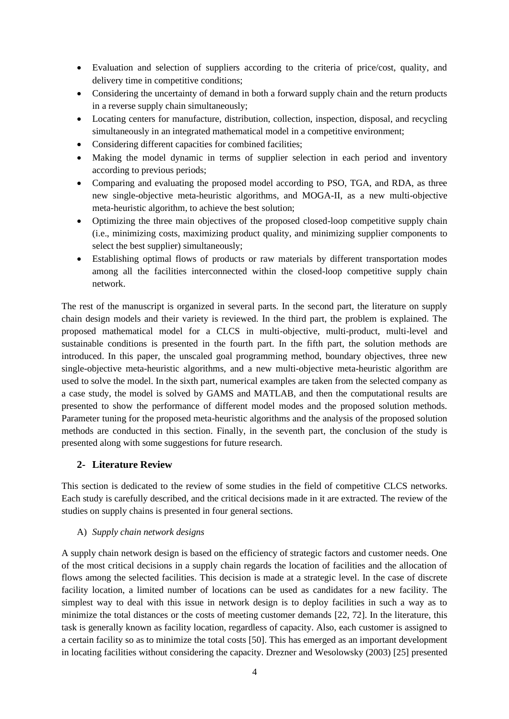- Evaluation and selection of suppliers according to the criteria of price/cost, quality, and delivery time in competitive conditions;
- Considering the uncertainty of demand in both a forward supply chain and the return products in a reverse supply chain simultaneously;
- Locating centers for manufacture, distribution, collection, inspection, disposal, and recycling simultaneously in an integrated mathematical model in a competitive environment;
- Considering different capacities for combined facilities;
- Making the model dynamic in terms of supplier selection in each period and inventory according to previous periods;
- Comparing and evaluating the proposed model according to PSO, TGA, and RDA, as three new single-objective meta-heuristic algorithms, and MOGA-II, as a new multi-objective meta-heuristic algorithm, to achieve the best solution;
- Optimizing the three main objectives of the proposed closed-loop competitive supply chain (i.e., minimizing costs, maximizing product quality, and minimizing supplier components to select the best supplier) simultaneously;
- Establishing optimal flows of products or raw materials by different transportation modes among all the facilities interconnected within the closed-loop competitive supply chain network.

The rest of the manuscript is organized in several parts. In the second part, the literature on supply chain design models and their variety is reviewed. In the third part, the problem is explained. The proposed mathematical model for a CLCS in multi-objective, multi-product, multi-level and sustainable conditions is presented in the fourth part. In the fifth part, the solution methods are introduced. In this paper, the unscaled goal programming method, boundary objectives, three new single-objective meta-heuristic algorithms, and a new multi-objective meta-heuristic algorithm are used to solve the model. In the sixth part, numerical examples are taken from the selected company as a case study, the model is solved by GAMS and MATLAB, and then the computational results are presented to show the performance of different model modes and the proposed solution methods. Parameter tuning for the proposed meta-heuristic algorithms and the analysis of the proposed solution methods are conducted in this section. Finally, in the seventh part, the conclusion of the study is presented along with some suggestions for future research.

# **2- Literature Review**

This section is dedicated to the review of some studies in the field of competitive CLCS networks. Each study is carefully described, and the critical decisions made in it are extracted. The review of the studies on supply chains is presented in four general sections.

# A) *Supply chain network designs*

A supply chain network design is based on the efficiency of strategic factors and customer needs. One of the most critical decisions in a supply chain regards the location of facilities and the allocation of flows among the selected facilities. This decision is made at a strategic level. In the case of discrete facility location, a limited number of locations can be used as candidates for a new facility. The simplest way to deal with this issue in network design is to deploy facilities in such a way as to minimize the total distances or the costs of meeting customer demands [22, 72]. In the literature, this task is generally known as facility location, regardless of capacity. Also, each customer is assigned to a certain facility so as to minimize the total costs [50]. This has emerged as an important development in locating facilities without considering the capacity. Drezner and Wesolowsky (2003) [25] presented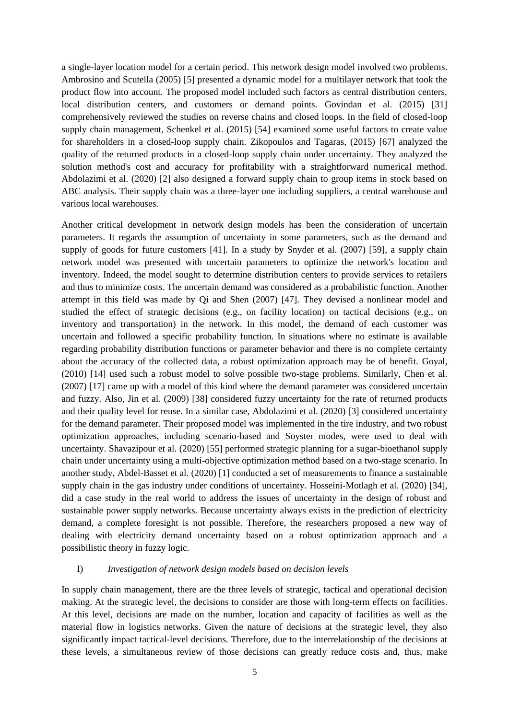a single-layer location model for a certain period. This network design model involved two problems. Ambrosino and Scutella (2005) [5] presented a dynamic model for a multilayer network that took the product flow into account. The proposed model included such factors as central distribution centers, local distribution centers, and customers or demand points. Govindan et al. (2015) [31] comprehensively reviewed the studies on reverse chains and closed loops. In the field of closed-loop supply chain management, Schenkel et al. (2015) [54] examined some useful factors to create value for shareholders in a closed-loop supply chain. Zikopoulos and Tagaras, (2015) [67] analyzed the quality of the returned products in a closed-loop supply chain under uncertainty. They analyzed the solution method's cost and accuracy for profitability with a straightforward numerical method. Abdolazimi et al. (2020) [2] also designed a forward supply chain to group items in stock based on ABC analysis. Their supply chain was a three-layer one including suppliers, a central warehouse and various local warehouses.

Another critical development in network design models has been the consideration of uncertain parameters. It regards the assumption of uncertainty in some parameters, such as the demand and supply of goods for future customers [41]. In a study by Snyder et al. (2007) [59], a supply chain network model was presented with uncertain parameters to optimize the network's location and inventory. Indeed, the model sought to determine distribution centers to provide services to retailers and thus to minimize costs. The uncertain demand was considered as a probabilistic function. Another attempt in this field was made by Qi and Shen (2007) [47]. They devised a nonlinear model and studied the effect of strategic decisions (e.g., on facility location) on tactical decisions (e.g., on inventory and transportation) in the network. In this model, the demand of each customer was uncertain and followed a specific probability function. In situations where no estimate is available regarding probability distribution functions or parameter behavior and there is no complete certainty about the accuracy of the collected data, a robust optimization approach may be of benefit. Goyal, (2010) [14] used such a robust model to solve possible two-stage problems. Similarly, Chen et al. (2007) [17] came up with a model of this kind where the demand parameter was considered uncertain and fuzzy. Also, Jin et al. (2009) [38] considered fuzzy uncertainty for the rate of returned products and their quality level for reuse. In a similar case, Abdolazimi et al. (2020) [3] considered uncertainty for the demand parameter. Their proposed model was implemented in the tire industry, and two robust optimization approaches, including scenario-based and Soyster modes, were used to deal with uncertainty. Shavazipour et al. (2020) [55] performed strategic planning for a sugar-bioethanol supply chain under uncertainty using a multi-objective optimization method based on a two-stage scenario. In another study, Abdel-Basset et al. (2020) [1] conducted a set of measurements to finance a sustainable supply chain in the gas industry under conditions of uncertainty. Hosseini-Motlagh et al. (2020) [34], did a case study in the real world to address the issues of uncertainty in the design of robust and sustainable power supply networks. Because uncertainty always exists in the prediction of electricity demand, a complete foresight is not possible. Therefore, the researchers proposed a new way of dealing with electricity demand uncertainty based on a robust optimization approach and a possibilistic theory in fuzzy logic.

#### I) *Investigation of network design models based on decision levels*

In supply chain management, there are the three levels of strategic, tactical and operational decision making. At the strategic level, the decisions to consider are those with long-term effects on facilities. At this level, decisions are made on the number, location and capacity of facilities as well as the material flow in logistics networks. Given the nature of decisions at the strategic level, they also significantly impact tactical-level decisions. Therefore, due to the interrelationship of the decisions at these levels, a simultaneous review of those decisions can greatly reduce costs and, thus, make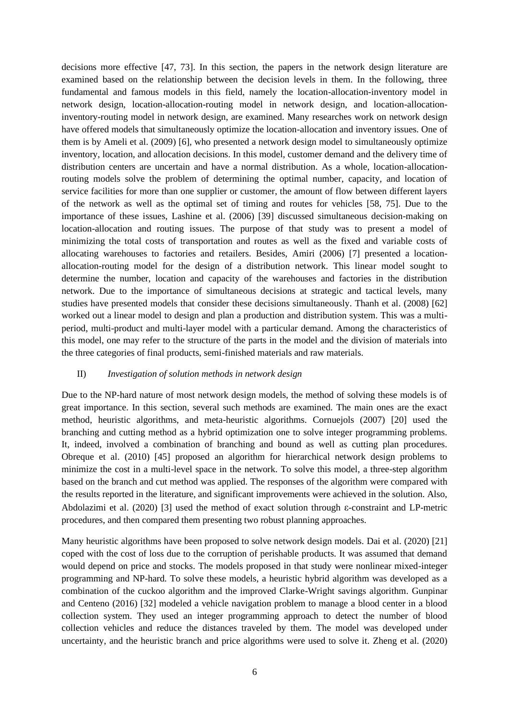decisions more effective [47, 73]. In this section, the papers in the network design literature are examined based on the relationship between the decision levels in them. In the following, three fundamental and famous models in this field, namely the location-allocation-inventory model in network design, location-allocation-routing model in network design, and location-allocationinventory-routing model in network design, are examined. Many researches work on network design have offered models that simultaneously optimize the location-allocation and inventory issues. One of them is by Ameli et al. (2009) [6], who presented a network design model to simultaneously optimize inventory, location, and allocation decisions. In this model, customer demand and the delivery time of distribution centers are uncertain and have a normal distribution. As a whole, location-allocationrouting models solve the problem of determining the optimal number, capacity, and location of service facilities for more than one supplier or customer, the amount of flow between different layers of the network as well as the optimal set of timing and routes for vehicles [58, 75]. Due to the importance of these issues, Lashine et al. (2006) [39] discussed simultaneous decision-making on location-allocation and routing issues. The purpose of that study was to present a model of minimizing the total costs of transportation and routes as well as the fixed and variable costs of allocating warehouses to factories and retailers. Besides, Amiri (2006) [7] presented a locationallocation-routing model for the design of a distribution network. This linear model sought to determine the number, location and capacity of the warehouses and factories in the distribution network. Due to the importance of simultaneous decisions at strategic and tactical levels, many studies have presented models that consider these decisions simultaneously. Thanh et al. (2008) [62] worked out a linear model to design and plan a production and distribution system. This was a multiperiod, multi-product and multi-layer model with a particular demand. Among the characteristics of this model, one may refer to the structure of the parts in the model and the division of materials into the three categories of final products, semi-finished materials and raw materials.

#### II) *Investigation of solution methods in network design*

Due to the NP-hard nature of most network design models, the method of solving these models is of great importance. In this section, several such methods are examined. The main ones are the exact method, heuristic algorithms, and meta-heuristic algorithms. Cornuejols (2007) [20] used the branching and cutting method as a hybrid optimization one to solve integer programming problems. It, indeed, involved a combination of branching and bound as well as cutting plan procedures. Obreque et al. (2010) [45] proposed an algorithm for hierarchical network design problems to minimize the cost in a multi-level space in the network. To solve this model, a three-step algorithm based on the branch and cut method was applied. The responses of the algorithm were compared with the results reported in the literature, and significant improvements were achieved in the solution. Also, Abdolazimi et al. (2020) [3] used the method of exact solution through ε-constraint and LP-metric procedures, and then compared them presenting two robust planning approaches.

Many heuristic algorithms have been proposed to solve network design models. Dai et al. (2020) [21] coped with the cost of loss due to the corruption of perishable products. It was assumed that demand would depend on price and stocks. The models proposed in that study were nonlinear mixed-integer programming and NP-hard. To solve these models, a heuristic hybrid algorithm was developed as a combination of the cuckoo algorithm and the improved Clarke-Wright savings algorithm. Gunpinar and Centeno (2016) [32] modeled a vehicle navigation problem to manage a blood center in a blood collection system. They used an integer programming approach to detect the number of blood collection vehicles and reduce the distances traveled by them. The model was developed under uncertainty, and the heuristic branch and price algorithms were used to solve it. Zheng et al. (2020)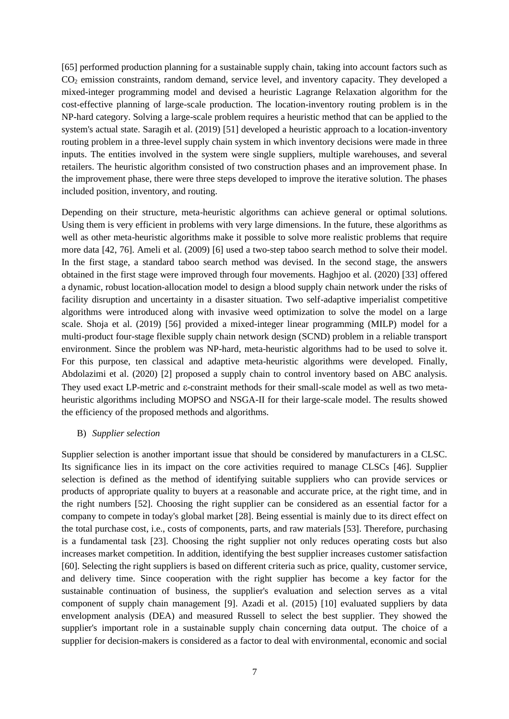[65] performed production planning for a sustainable supply chain, taking into account factors such as CO<sup>2</sup> emission constraints, random demand, service level, and inventory capacity. They developed a mixed-integer programming model and devised a heuristic Lagrange Relaxation algorithm for the cost-effective planning of large-scale production. The location-inventory routing problem is in the NP-hard category. Solving a large-scale problem requires a heuristic method that can be applied to the system's actual state. Saragih et al. (2019) [51] developed a heuristic approach to a location-inventory routing problem in a three-level supply chain system in which inventory decisions were made in three inputs. The entities involved in the system were single suppliers, multiple warehouses, and several retailers. The heuristic algorithm consisted of two construction phases and an improvement phase. In the improvement phase, there were three steps developed to improve the iterative solution. The phases included position, inventory, and routing.

Depending on their structure, meta-heuristic algorithms can achieve general or optimal solutions. Using them is very efficient in problems with very large dimensions. In the future, these algorithms as well as other meta-heuristic algorithms make it possible to solve more realistic problems that require more data [42, 76]. Ameli et al. (2009) [6] used a two-step taboo search method to solve their model. In the first stage, a standard taboo search method was devised. In the second stage, the answers obtained in the first stage were improved through four movements. Haghjoo et al. (2020) [33] offered a dynamic, robust location-allocation model to design a blood supply chain network under the risks of facility disruption and uncertainty in a disaster situation. Two self-adaptive imperialist competitive algorithms were introduced along with invasive weed optimization to solve the model on a large scale. Shoja et al. (2019) [56] provided a mixed-integer linear programming (MILP) model for a multi-product four-stage flexible supply chain network design (SCND) problem in a reliable transport environment. Since the problem was NP-hard, meta-heuristic algorithms had to be used to solve it. For this purpose, ten classical and adaptive meta-heuristic algorithms were developed. Finally, Abdolazimi et al. (2020) [2] proposed a supply chain to control inventory based on ABC analysis. They used exact LP-metric and ε-constraint methods for their small-scale model as well as two metaheuristic algorithms including MOPSO and NSGA-II for their large-scale model. The results showed the efficiency of the proposed methods and algorithms.

#### B) *Supplier selection*

Supplier selection is another important issue that should be considered by manufacturers in a CLSC. Its significance lies in its impact on the core activities required to manage CLSCs [46]. Supplier selection is defined as the method of identifying suitable suppliers who can provide services or products of appropriate quality to buyers at a reasonable and accurate price, at the right time, and in the right numbers [52]. Choosing the right supplier can be considered as an essential factor for a company to compete in today's global market [28]. Being essential is mainly due to its direct effect on the total purchase cost, i.e., costs of components, parts, and raw materials [53]. Therefore, purchasing is a fundamental task [23]. Choosing the right supplier not only reduces operating costs but also increases market competition. In addition, identifying the best supplier increases customer satisfaction [60]. Selecting the right suppliers is based on different criteria such as price, quality, customer service, and delivery time. Since cooperation with the right supplier has become a key factor for the sustainable continuation of business, the supplier's evaluation and selection serves as a vital component of supply chain management [9]. Azadi et al. (2015) [10] evaluated suppliers by data envelopment analysis (DEA) and measured Russell to select the best supplier. They showed the supplier's important role in a sustainable supply chain concerning data output. The choice of a supplier for decision-makers is considered as a factor to deal with environmental, economic and social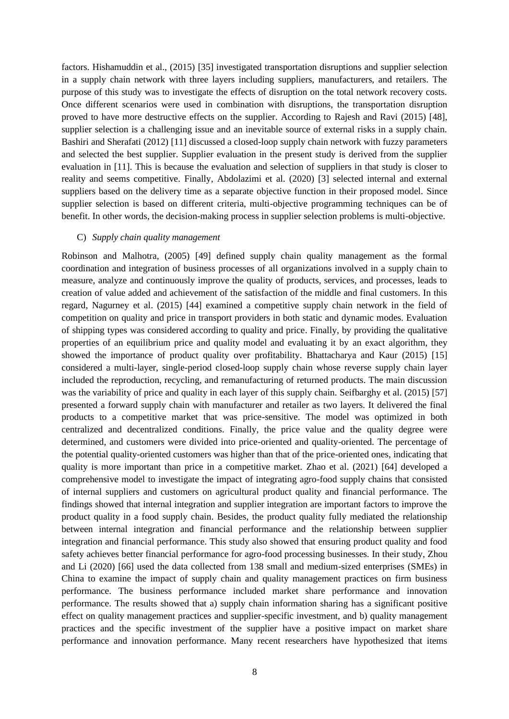factors. Hishamuddin et al., (2015) [35] investigated transportation disruptions and supplier selection in a supply chain network with three layers including suppliers, manufacturers, and retailers. The purpose of this study was to investigate the effects of disruption on the total network recovery costs. Once different scenarios were used in combination with disruptions, the transportation disruption proved to have more destructive effects on the supplier. According to Rajesh and Ravi (2015) [48], supplier selection is a challenging issue and an inevitable source of external risks in a supply chain. Bashiri and Sherafati (2012) [11] discussed a closed-loop supply chain network with fuzzy parameters and selected the best supplier. Supplier evaluation in the present study is derived from the supplier evaluation in [11]. This is because the evaluation and selection of suppliers in that study is closer to reality and seems competitive. Finally, Abdolazimi et al. (2020) [3] selected internal and external suppliers based on the delivery time as a separate objective function in their proposed model. Since supplier selection is based on different criteria, multi-objective programming techniques can be of benefit. In other words, the decision-making process in supplier selection problems is multi-objective.

#### C) *Supply chain quality management*

Robinson and Malhotra, (2005) [49] defined supply chain quality management as the formal coordination and integration of business processes of all organizations involved in a supply chain to measure, analyze and continuously improve the quality of products, services, and processes, leads to creation of value added and achievement of the satisfaction of the middle and final customers. In this regard, Nagurney et al. (2015) [44] examined a competitive supply chain network in the field of competition on quality and price in transport providers in both static and dynamic modes. Evaluation of shipping types was considered according to quality and price. Finally, by providing the qualitative properties of an equilibrium price and quality model and evaluating it by an exact algorithm, they showed the importance of product quality over profitability. Bhattacharya and Kaur (2015) [15] considered a multi-layer, single-period closed-loop supply chain whose reverse supply chain layer included the reproduction, recycling, and remanufacturing of returned products. The main discussion was the variability of price and quality in each layer of this supply chain. Seifbarghy et al. (2015) [57] presented a forward supply chain with manufacturer and retailer as two layers. It delivered the final products to a competitive market that was price-sensitive. The model was optimized in both centralized and decentralized conditions. Finally, the price value and the quality degree were determined, and customers were divided into price-oriented and quality-oriented. The percentage of the potential quality-oriented customers was higher than that of the price-oriented ones, indicating that quality is more important than price in a competitive market. Zhao et al. (2021) [64] developed a comprehensive model to investigate the impact of integrating agro-food supply chains that consisted of internal suppliers and customers on agricultural product quality and financial performance. The findings showed that internal integration and supplier integration are important factors to improve the product quality in a food supply chain. Besides, the product quality fully mediated the relationship between internal integration and financial performance and the relationship between supplier integration and financial performance. This study also showed that ensuring product quality and food safety achieves better financial performance for agro-food processing businesses. In their study, Zhou and Li (2020) [66] used the data collected from 138 small and medium-sized enterprises (SMEs) in China to examine the impact of supply chain and quality management practices on firm business performance. The business performance included market share performance and innovation performance. The results showed that a) supply chain information sharing has a significant positive effect on quality management practices and supplier-specific investment, and b) quality management practices and the specific investment of the supplier have a positive impact on market share performance and innovation performance. Many recent researchers have hypothesized that items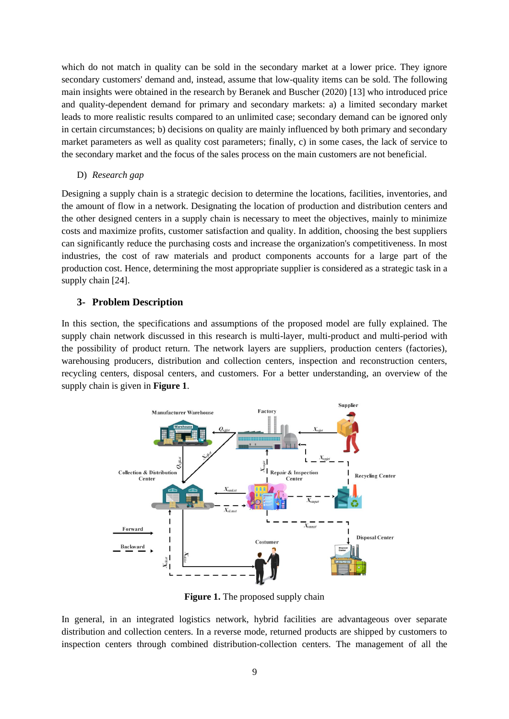which do not match in quality can be sold in the secondary market at a lower price. They ignore secondary customers' demand and, instead, assume that low-quality items can be sold. The following main insights were obtained in the research by Beranek and Buscher (2020) [13] who introduced price and quality-dependent demand for primary and secondary markets: a) a limited secondary market leads to more realistic results compared to an unlimited case; secondary demand can be ignored only in certain circumstances; b) decisions on quality are mainly influenced by both primary and secondary market parameters as well as quality cost parameters; finally, c) in some cases, the lack of service to the secondary market and the focus of the sales process on the main customers are not beneficial.

# D) *Research gap*

Designing a supply chain is a strategic decision to determine the locations, facilities, inventories, and the amount of flow in a network. Designating the location of production and distribution centers and the other designed centers in a supply chain is necessary to meet the objectives, mainly to minimize costs and maximize profits, customer satisfaction and quality. In addition, choosing the best suppliers can significantly reduce the purchasing costs and increase the organization's competitiveness. In most industries, the cost of raw materials and product components accounts for a large part of the production cost. Hence, determining the most appropriate supplier is considered as a strategic task in a supply chain [24].

# **3- Problem Description**

In this section, the specifications and assumptions of the proposed model are fully explained. The supply chain network discussed in this research is multi-layer, multi-product and multi-period with the possibility of product return. The network layers are suppliers, production centers (factories), warehousing producers, distribution and collection centers, inspection and reconstruction centers, recycling centers, disposal centers, and customers. For a better understanding, an overview of the supply chain is given in **Figure 1**.



**Figure 1.** The proposed supply chain

In general, in an integrated logistics network, hybrid facilities are advantageous over separate distribution and collection centers. In a reverse mode, returned products are shipped by customers to inspection centers through combined distribution-collection centers. The management of all the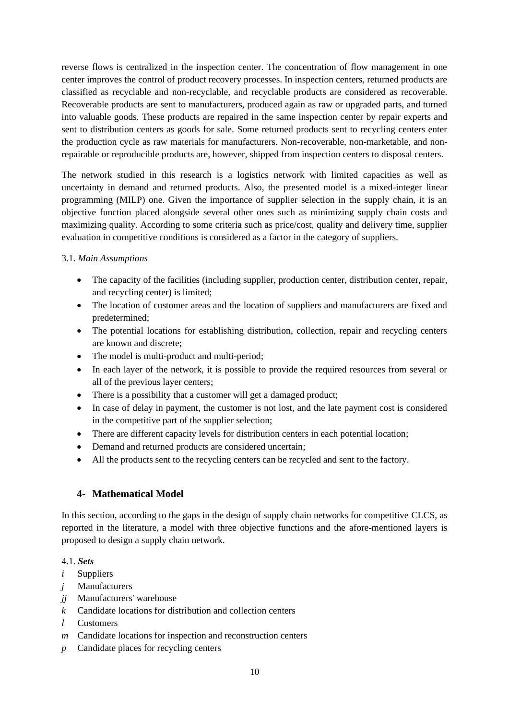reverse flows is centralized in the inspection center. The concentration of flow management in one center improves the control of product recovery processes. In inspection centers, returned products are classified as recyclable and non-recyclable, and recyclable products are considered as recoverable. Recoverable products are sent to manufacturers, produced again as raw or upgraded parts, and turned into valuable goods. These products are repaired in the same inspection center by repair experts and sent to distribution centers as goods for sale. Some returned products sent to recycling centers enter the production cycle as raw materials for manufacturers. Non-recoverable, non-marketable, and nonrepairable or reproducible products are, however, shipped from inspection centers to disposal centers.

The network studied in this research is a logistics network with limited capacities as well as uncertainty in demand and returned products. Also, the presented model is a mixed-integer linear programming (MILP) one. Given the importance of supplier selection in the supply chain, it is an objective function placed alongside several other ones such as minimizing supply chain costs and maximizing quality. According to some criteria such as price/cost, quality and delivery time, supplier evaluation in competitive conditions is considered as a factor in the category of suppliers.

# 3.1. *Main Assumptions*

- The capacity of the facilities (including supplier, production center, distribution center, repair, and recycling center) is limited;
- The location of customer areas and the location of suppliers and manufacturers are fixed and predetermined;
- The potential locations for establishing distribution, collection, repair and recycling centers are known and discrete;
- The model is multi-product and multi-period;
- In each layer of the network, it is possible to provide the required resources from several or all of the previous layer centers;
- There is a possibility that a customer will get a damaged product;
- In case of delay in payment, the customer is not lost, and the late payment cost is considered in the competitive part of the supplier selection;
- There are different capacity levels for distribution centers in each potential location;
- Demand and returned products are considered uncertain;
- All the products sent to the recycling centers can be recycled and sent to the factory.

# **4- Mathematical Model**

In this section, according to the gaps in the design of supply chain networks for competitive CLCS, as reported in the literature, a model with three objective functions and the afore-mentioned layers is proposed to design a supply chain network.

4.1. *Sets*

- *i* Suppliers
- *j* Manufacturers
- *jj* Manufacturers' warehouse
- *k* Candidate locations for distribution and collection centers
- *l* Customers
- *m* Candidate locations for inspection and reconstruction centers
- *p* Candidate places for recycling centers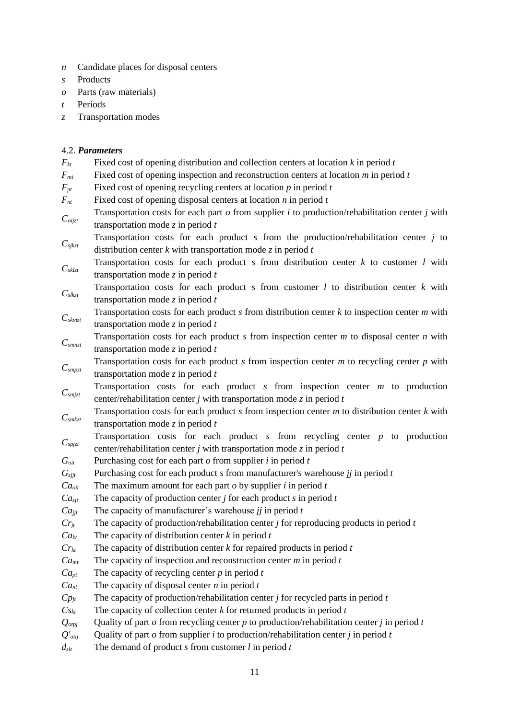- *n* Candidate places for disposal centers
- *s* Products
- *o* Parts (raw materials)
- *t* Periods
- *z* Transportation modes

# 4.2. *Parameters*

| $F_{kt}$                                   | Fixed cost of opening distribution and collection centers at location $k$ in period $t$               |
|--------------------------------------------|-------------------------------------------------------------------------------------------------------|
| $F_{mt}$                                   | Fixed cost of opening inspection and reconstruction centers at location $m$ in period $t$             |
| $F_{pt}$                                   | Fixed cost of opening recycling centers at location $p$ in period $t$                                 |
| $F_{nt}$                                   | Fixed cost of opening disposal centers at location $n$ in period $t$                                  |
|                                            | Transportation costs for each part $o$ from supplier $i$ to production/rehabilitation center $j$ with |
| $C_{\it oijzt}$                            | transportation mode $z$ in period $t$                                                                 |
|                                            | Transportation costs for each product $s$ from the production/rehabilitation center $j$ to            |
| $\mathcal{C}_{\text{sjkzt}}$               | distribution center $k$ with transportation mode $\zeta$ in period $t$                                |
|                                            | Transportation costs for each product $s$ from distribution center $k$ to customer $l$ with           |
| $C_{\it sklzt}$                            | transportation mode $z$ in period $t$                                                                 |
|                                            | Transportation costs for each product $s$ from customer $l$ to distribution center $k$ with           |
| $C_{\text{slkzt}}$                         | transportation mode $z$ in period $t$                                                                 |
|                                            | Transportation costs for each product $s$ from distribution center $k$ to inspection center $m$ with  |
| $C_{skmzt}$                                | transportation mode $z$ in period $t$                                                                 |
|                                            | Transportation costs for each product $s$ from inspection center $m$ to disposal center $n$ with      |
| $C_{smnzt}$                                | transportation mode $z$ in period $t$                                                                 |
|                                            | Transportation costs for each product $s$ from inspection center $m$ to recycling center $p$ with     |
| $C_{\mathit{smpzt}}$                       | transportation mode $z$ in period $t$                                                                 |
|                                            | Transportation costs for each product $s$ from inspection center $m$ to production                    |
| $C_{\textit{smjzt}}$                       | center/rehabilitation center $j$ with transportation mode $z$ in period $t$                           |
|                                            | Transportation costs for each product $s$ from inspection center $m$ to distribution center $k$ with  |
| $C_{\mathit{smkzt}}$                       | transportation mode $z$ in period $t$                                                                 |
| $C_{\text{spjzt}}$                         | Transportation costs for each product $s$ from recycling center $p$ to production                     |
|                                            | center/rehabilitation center j with transportation mode z in period $t$                               |
| $G_{\mathit{oit}}$                         | Purchasing cost for each part $o$ from supplier $i$ in period $t$                                     |
| $G_{s j j t}$                              | Purchasing cost for each product $s$ from manufacturer's warehouse $jj$ in period $t$                 |
| $Ca_{\text{oit}}$                          | The maximum amount for each part $o$ by supplier $i$ in period $t$                                    |
| Ca <sub>st</sub>                           | The capacity of production center $j$ for each product $s$ in period $t$                              |
| $Ca_{jjt}$                                 | The capacity of manufacturer's warehouse $jj$ in period $t$                                           |
| $Cr_{jt}$                                  | The capacity of production/rehabilitation center $j$ for reproducing products in period $t$           |
| $Ca_{kt}$                                  | The capacity of distribution center $k$ in period $t$                                                 |
| $Cr_{kt}$                                  | The capacity of distribution center $k$ for repaired products in period $t$                           |
| Ca <sub>mt</sub>                           | The capacity of inspection and reconstruction center $m$ in period $t$                                |
| $Ca_{pt}$                                  | The capacity of recycling center $p$ in period $t$                                                    |
| Ca <sub>nt</sub>                           | The capacity of disposal center $n$ in period $t$                                                     |
| $Cp_{jt}$                                  | The capacity of production/rehabilitation center $j$ for recycled parts in period $t$                 |
| $Cs_{kt}$                                  | The capacity of collection center $k$ for returned products in period $t$                             |
| $\mathcal{Q} _{otpj}$                      | Quality of part $o$ from recycling center $p$ to production/rehabilitation center $j$ in period $t$   |
| $Q'_{\text{otij}}$                         | Quality of part $o$ from supplier $i$ to production/rehabilitation center $j$ in period $t$           |
| $d_{\mathfrak{s}\mathfrak{t}\mathfrak{t}}$ | The demand of product $s$ from customer $l$ in period $t$                                             |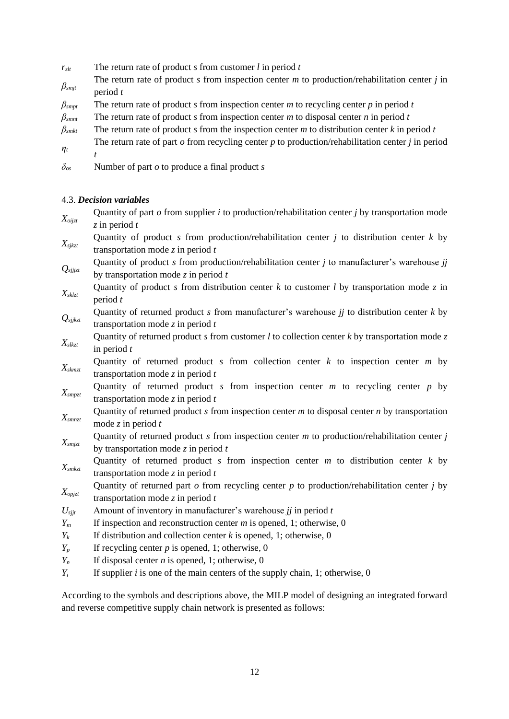- $r_{\text{slt}}$  The return rate of product *s* from customer *l* in period *t*
- *βsmjt* The return rate of product *s* from inspection center *m* to production/rehabilitation center *j* in period *t*
- *βsmpt* The return rate of product *s* from inspection center *m* to recycling center *p* in period *t*
- $\beta_{\text{smnt}}$  The return rate of product *s* from inspection center *m* to disposal center *n* in period *t*
- *βsmkt* The return rate of product *s* from the inspection center *m* to distribution center *k* in period *t ηt* The return rate of part *o* from recycling center *p* to production/rehabilitation center *j* in period *t*
- 
- *δos* Number of part *o* to produce a final product *s*

# 4.3. *Decision variables*

*Xoijzt* Quantity of part *o* from supplier *i* to production/rehabilitation center *j* by transportation mode *z* in period *t Xsjkzt* Quantity of product *s* from production/rehabilitation center *j* to distribution center *k* by transportation mode *z* in period *t Qsjjjzt* Quantity of product *s* from production/rehabilitation center *j* to manufacturer's warehouse *jj* by transportation mode *z* in period *t Xsklzt* Quantity of product *s* from distribution center *k* to customer *l* by transportation mode *z* in period *t Qsjjkzt* Quantity of returned product *s* from manufacturer's warehouse *jj* to distribution center *k* by transportation mode *z* in period *t Xslkzt* Quantity of returned product *s* from customer *l* to collection center *k* by transportation mode *z* in period *t Xskmzt* Quantity of returned product *s* from collection center *k* to inspection center *m* by transportation mode *z* in period *t Xsmpzt* Quantity of returned product *s* from inspection center *m* to recycling center *p* by transportation mode *z* in period *t Xsmnzt* Quantity of returned product *s* from inspection center *m* to disposal center *n* by transportation mode *z* in period *t Xsmjzt* Quantity of returned product *s* from inspection center *m* to production/rehabilitation center *j* by transportation mode *z* in period *t Xsmkzt* Quantity of returned product *s* from inspection center *m* to distribution center *k* by transportation mode *z* in period *t Xopjzt* Quantity of returned part *o* from recycling center *p* to production/rehabilitation center *j* by transportation mode *z* in period *t*  $U_{sijt}$  Amount of inventory in manufacturer's warehouse *jj* in period *t Y<sup>m</sup>* If inspection and reconstruction center *m* is opened, 1; otherwise, 0  $Y_k$  If distribution and collection center *k* is opened, 1; otherwise, 0  $Y_p$  If recycling center *p* is opened, 1; otherwise, 0  $Y_n$  If disposal center *n* is opened, 1; otherwise, 0  $Y_i$  If supplier *i* is one of the main centers of the supply chain, 1; otherwise, 0

According to the symbols and descriptions above, the MILP model of designing an integrated forward and reverse competitive supply chain network is presented as follows: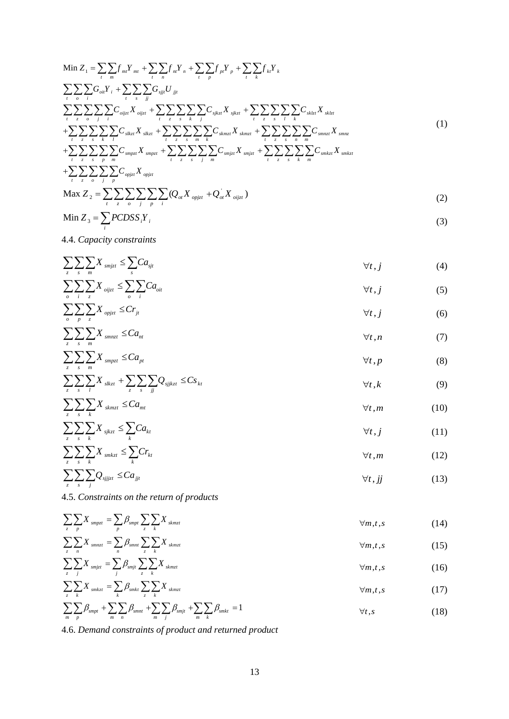Min <sup>1</sup> *mt mt nt n pt p kt k t m t n t p t k oit i sjjt jjt t o i t s jj oijzt oijzt sjkzt sjkzt sklzt sklzt t z o j i t z s k j t z s l k slkzt slkzt skmzt skmzt smnzt t z s k l t z s m k n m Z f Y f Y f Y f Y G Y G U C X C X C X C X C X C* = + + + + + + + + + *smnz t z s smpzt smpzt smjzt smjzt smkzt smkzt t z s p m t z s j m t z s k m opjzt opjzt t z o j p X C X C X C X C X* + + + + (1)

$$
\text{Max } Z_2 = \sum_{t} \sum_{z} \sum_{o} \sum_{j} \sum_{p} \sum_{i} (Q_{ot} X_{opjzt} + Q_{ot} X_{oijzt})
$$
\n
$$
\text{Min } Z = \sum P C D S S V
$$
\n(2)

$$
\text{Min } Z_3 = \sum_i PCDSS_i Y_i \tag{3}
$$

4.4. *Capacity constraints*

$$
\sum_{z} \sum_{s} \sum_{m} X_{smjzt} \leq \sum_{s} Ca_{sjt} \qquad \qquad \forall t, j \qquad \qquad (4)
$$

$$
\sum_{o} \sum_{i} \sum_{z} X_{oijzt} \le \sum_{o} \sum_{i} Ca_{ot} \qquad \qquad \forall t, j \tag{5}
$$

$$
\sum_{o} \sum_{p} \sum_{z} X_{opjzt} \leq Cr_{jt} \qquad \qquad \forall t, j \tag{6}
$$

$$
\sum_{z} \sum_{s} X_{smax} \leq Ca_{nt} \qquad \qquad \forall t, n \tag{7}
$$

$$
\sum_{z} \sum_{s} \sum_{m} X_{smpzt} \leq Ca_{pt} \qquad \qquad \forall t, p \qquad \qquad (8)
$$

$$
\sum_{z} \sum_{s} \sum_{l} X_{skzt} + \sum_{z} \sum_{s} \sum_{jj} Q_{sjjktzt} \leq Cs_{kt} \qquad \qquad \forall t, k \tag{9}
$$

$$
\sum_{z} \sum_{s} \sum_{k} X_{s k m z t} \leq C a_{m t} \qquad \qquad \forall t, m \qquad \qquad (10)
$$

$$
\sum_{z} \sum_{s} \sum_{k} X_{sjkzt} \leq \sum_{k} Ca_{kt} \qquad \qquad \forall t, j \tag{11}
$$

$$
\sum_{z} \sum_{s} \sum_{k} X_{smkzt} \leq \sum_{k} Cr_{kt} \qquad \qquad \forall t, m \qquad \qquad (12)
$$

$$
\sum_{z} \sum_{s} \sum_{j} Q_{sjjzt} \leq C a_{jjt} \qquad \qquad \forall t, jj \qquad \qquad (13)
$$

4.5. *Constraints on the return of products*

$$
\sum_{z} \sum_{p} X_{smpzt} = \sum_{p} \beta_{smpt} \sum_{z} \sum_{k} X_{skmzt} \qquad \qquad \forall m, t, s \qquad (14)
$$

$$
\sum_{z} \sum_{n} X_{smaxt} = \sum_{n} \beta_{smat} \sum_{z} X_{skmzt} \qquad \qquad \forall m, t, s
$$
 (15)

$$
\sum_{z} \sum_{j} X_{smjzt} = \sum_{j} \beta_{smjt} \sum_{z} \sum_{k} X_{skmzt} \qquad \qquad \forall m, t, s \qquad (16)
$$
\n
$$
\sum_{z} \sum_{k} X_{smkzt} = \sum_{k} \beta_{smkt} \sum_{z} \sum_{k} X_{skmzt} \qquad \qquad \forall m, t, s \qquad (17)
$$

$$
\sum_{m}\sum_{p}\beta_{smpt} + \sum_{m}\sum_{n}\beta_{smnt} + \sum_{m}\sum_{j}\beta_{smjt} + \sum_{m}\sum_{k}\beta_{smkt} = 1
$$

4.6. *Demand constraints of product and returned product*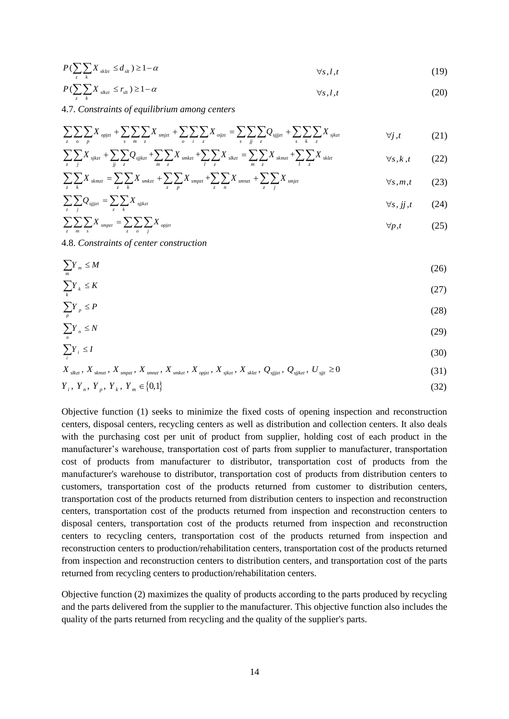$$
P\left(\sum_{z}\sum_{k}X_{skzt} \leq d_{sl}\right) \geq 1-\alpha \qquad \qquad \forall s,l,t \tag{19}
$$

$$
P\left(\sum_{z}\sum_{k}X_{slkzt} \leq r_{sl} \right) \geq 1-\alpha \qquad \qquad \forall s,l,t \tag{20}
$$

4.7. *Constraints of equilibrium among centers*

$$
\sum_{z} \sum_{o} \sum_{p} X_{opjzt} + \sum_{s} \sum_{m} \sum_{z} X_{smjzt} + \sum_{o} \sum_{i} \sum_{z} X_{opjzt} = \sum_{s} \sum_{jj} \sum_{z} Q_{sjjzt} + \sum_{s} \sum_{k} \sum_{z} X_{sjkzt} \qquad \qquad \forall j, t \qquad (21)
$$

$$
\sum_{z} \sum_{j} X_{sjkzt} + \sum_{jj} \sum_{z} Q_{sjjktzt} + \sum_{m} \sum_{z} X_{smkzt} + \sum_{l} \sum_{z} X_{slkzt} = \sum_{m} \sum_{z} X_{skmzt} + \sum_{l} \sum_{z} X_{sklzt} \qquad \forall s, k, t \qquad (22)
$$

$$
\sum_{z} \sum_{k} X_{skmzt} = \sum_{z} \sum_{k} X_{smkzt} + \sum_{z} \sum_{p} X_{smpzt} + \sum_{z} \sum_{n} X_{smrzt} + \sum_{z} \sum_{j} X_{smjzt} \qquad \qquad \forall s, m, t \qquad (23)
$$

$$
\sum_{z} \sum_{j} Q_{sjjzt} = \sum_{z} X_{sjjkzt} \qquad (24)
$$

$$
\sum_{z} \sum_{m} \sum_{s} X_{smpt} = \sum_{z} \sum_{o} \sum_{j} X_{opjzt} \tag{25}
$$

4.8. *Constraints of center construction*

*n*

$$
\sum_{m} Y_{m} \leq M \tag{26}
$$

$$
\sum_{k} Y_{k} \leq K \tag{27}
$$

$$
\sum_{p} Y_{p} \le P \tag{28}
$$

$$
\sum Y_n \le N \tag{29}
$$

$$
\sum Y_i \le I \tag{30}
$$

$$
X_{\text{skzt}}, X_{\text{skmzt}}, X_{\text{smpt}}, X_{\text{smzt}}, X_{\text{smkt}}, X_{\text{onkt}}, X_{\text{opzt}}, X_{\text{skzt}}, X_{\text{skzt}}, Q_{\text{sijzt}}, Q_{\text{sjkt}}, U_{\text{sjt}} \ge 0 \tag{31}
$$

$$
Y_i, Y_n, Y_p, Y_k, Y_m \in \{0,1\}
$$
\n(32)

 $\sum_{i} X_{\text{star}} \leq d_{\text{ss}} \geq 1-\alpha$ <br>  $\sum_{i} X_{\text{star}} \leq r_{\text{ss}} \geq 1-\alpha$ <br>  $\sum_{i} X_{\text{star}} \leq r_{\text{ss}} \geq 1-\alpha$ <br>
1. Constraints of equilibrium among centers<br>  $\sum_{i} \sum_{j} X_{\text{split}} + \sum_{i} \sum_{i} \sum_{j} X_{\text{split}} + \sum_{j} \sum_{i} \sum_{j} X_{\text{split}} = \sum_{i} \sum_{j} \sum$ Objective function (1) seeks to minimize the fixed costs of opening inspection and reconstruction centers, disposal centers, recycling centers as well as distribution and collection centers. It also deals with the purchasing cost per unit of product from supplier, holding cost of each product in the manufacturer's warehouse, transportation cost of parts from supplier to manufacturer, transportation cost of products from manufacturer to distributor, transportation cost of products from the manufacturer's warehouse to distributor, transportation cost of products from distribution centers to customers, transportation cost of the products returned from customer to distribution centers, transportation cost of the products returned from distribution centers to inspection and reconstruction centers, transportation cost of the products returned from inspection and reconstruction centers to disposal centers, transportation cost of the products returned from inspection and reconstruction centers to recycling centers, transportation cost of the products returned from inspection and reconstruction centers to production/rehabilitation centers, transportation cost of the products returned from inspection and reconstruction centers to distribution centers, and transportation cost of the parts returned from recycling centers to production/rehabilitation centers.

Objective function (2) maximizes the quality of products according to the parts produced by recycling and the parts delivered from the supplier to the manufacturer. This objective function also includes the quality of the parts returned from recycling and the quality of the supplier's parts.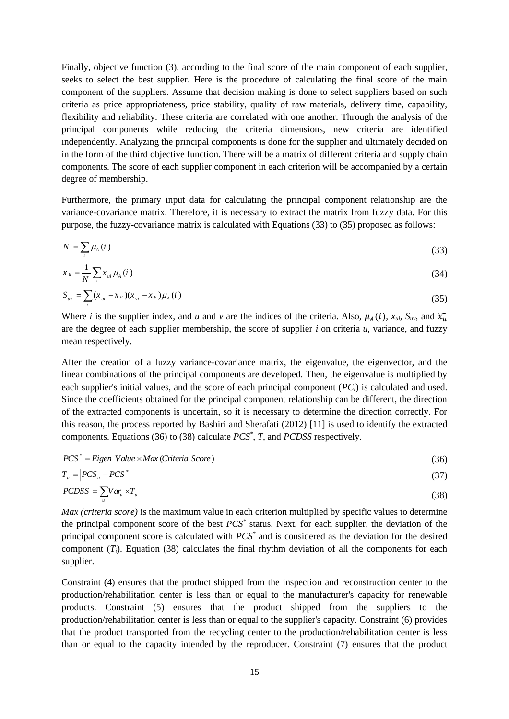Finally, objective function (3), according to the final score of the main component of each supplier, seeks to select the best supplier. Here is the procedure of calculating the final score of the main component of the suppliers. Assume that decision making is done to select suppliers based on such criteria as price appropriateness, price stability, quality of raw materials, delivery time, capability, flexibility and reliability. These criteria are correlated with one another. Through the analysis of the principal components while reducing the criteria dimensions, new criteria are identified independently. Analyzing the principal components is done for the supplier and ultimately decided on in the form of the third objective function. There will be a matrix of different criteria and supply chain components. The score of each supplier component in each criterion will be accompanied by a certain degree of membership.

Furthermore, the primary input data for calculating the principal component relationship are the variance-covariance matrix. Therefore, it is necessary to extract the matrix from fuzzy data. For this purpose, the fuzzy-covariance matrix is calculated with Equations (33) to (35) proposed as follows:

$$
N = \sum_{i} \mu_{A}(i) \tag{33}
$$

$$
x_{u} = \frac{1}{N} \sum_{i} x_{ui} \mu_{A}(i)
$$
\n(34)

$$
S_{uv} = \sum_{i} (x_{ui} - x_{u})(x_{vi} - x_{u})\mu_{A}(i)
$$
\n(35)

Where *i* is the supplier index, and *u* and *v* are the indices of the criteria. Also,  $\mu_A(i)$ ,  $x_{ui}$ ,  $S_{uv}$ , and  $\widetilde{x_u}$ are the degree of each supplier membership, the score of supplier *i* on criteria *u*, variance, and fuzzy mean respectively.

After the creation of a fuzzy variance-covariance matrix, the eigenvalue, the eigenvector, and the linear combinations of the principal components are developed. Then, the eigenvalue is multiplied by each supplier's initial values, and the score of each principal component (*PCi*) is calculated and used. Since the coefficients obtained for the principal component relationship can be different, the direction of the extracted components is uncertain, so it is necessary to determine the direction correctly. For this reason, the process reported by Bashiri and Sherafati (2012) [11] is used to identify the extracted components. Equations (36) to (38) calculate *PCS\** , *T*, and *PCDSS* respectively.

$$
PCS^* = Eigen Value \times Max (Criteria Score)
$$
\n(36)

$$
T_u = \left| PCS_u - PCS^\ast \right| \tag{37}
$$

$$
PCDSS = \sum_{u} Var_{u} \times T_{u}
$$
\n(38)

*Max (criteria score)* is the maximum value in each criterion multiplied by specific values to determine the principal component score of the best *PCS\** status. Next, for each supplier, the deviation of the principal component score is calculated with *PCS\** and is considered as the deviation for the desired component  $(T_i)$ . Equation (38) calculates the final rhythm deviation of all the components for each supplier.

Constraint (4) ensures that the product shipped from the inspection and reconstruction center to the production/rehabilitation center is less than or equal to the manufacturer's capacity for renewable products. Constraint (5) ensures that the product shipped from the suppliers to the production/rehabilitation center is less than or equal to the supplier's capacity. Constraint (6) provides that the product transported from the recycling center to the production/rehabilitation center is less than or equal to the capacity intended by the reproducer. Constraint (7) ensures that the product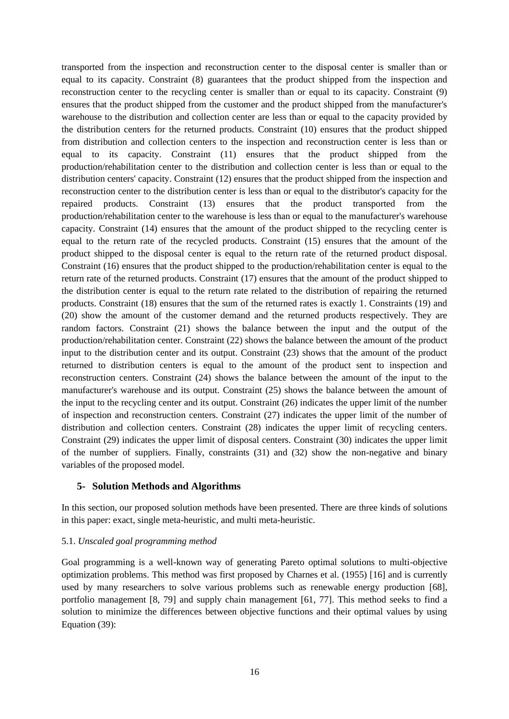transported from the inspection and reconstruction center to the disposal center is smaller than or equal to its capacity. Constraint (8) guarantees that the product shipped from the inspection and reconstruction center to the recycling center is smaller than or equal to its capacity. Constraint (9) ensures that the product shipped from the customer and the product shipped from the manufacturer's warehouse to the distribution and collection center are less than or equal to the capacity provided by the distribution centers for the returned products. Constraint (10) ensures that the product shipped from distribution and collection centers to the inspection and reconstruction center is less than or equal to its capacity. Constraint (11) ensures that the product shipped from the production/rehabilitation center to the distribution and collection center is less than or equal to the distribution centers' capacity. Constraint (12) ensures that the product shipped from the inspection and reconstruction center to the distribution center is less than or equal to the distributor's capacity for the repaired products. Constraint (13) ensures that the product transported from the production/rehabilitation center to the warehouse is less than or equal to the manufacturer's warehouse capacity. Constraint (14) ensures that the amount of the product shipped to the recycling center is equal to the return rate of the recycled products. Constraint (15) ensures that the amount of the product shipped to the disposal center is equal to the return rate of the returned product disposal. Constraint (16) ensures that the product shipped to the production/rehabilitation center is equal to the return rate of the returned products. Constraint (17) ensures that the amount of the product shipped to the distribution center is equal to the return rate related to the distribution of repairing the returned products. Constraint (18) ensures that the sum of the returned rates is exactly 1. Constraints (19) and (20) show the amount of the customer demand and the returned products respectively. They are random factors. Constraint (21) shows the balance between the input and the output of the production/rehabilitation center. Constraint (22) shows the balance between the amount of the product input to the distribution center and its output. Constraint (23) shows that the amount of the product returned to distribution centers is equal to the amount of the product sent to inspection and reconstruction centers. Constraint (24) shows the balance between the amount of the input to the manufacturer's warehouse and its output. Constraint (25) shows the balance between the amount of the input to the recycling center and its output. Constraint (26) indicates the upper limit of the number of inspection and reconstruction centers. Constraint (27) indicates the upper limit of the number of distribution and collection centers. Constraint (28) indicates the upper limit of recycling centers. Constraint (29) indicates the upper limit of disposal centers. Constraint (30) indicates the upper limit of the number of suppliers. Finally, constraints (31) and (32) show the non-negative and binary variables of the proposed model.

# **5- Solution Methods and Algorithms**

In this section, our proposed solution methods have been presented. There are three kinds of solutions in this paper: exact, single meta-heuristic, and multi meta-heuristic.

#### 5.1. *Unscaled goal programming method*

Goal programming is a well-known way of generating Pareto optimal solutions to multi-objective optimization problems. This method was first proposed by Charnes et al. (1955) [16] and is currently used by many researchers to solve various problems such as renewable energy production [68], portfolio management [8, 79] and supply chain management [61, 77]. This method seeks to find a solution to minimize the differences between objective functions and their optimal values by using Equation (39):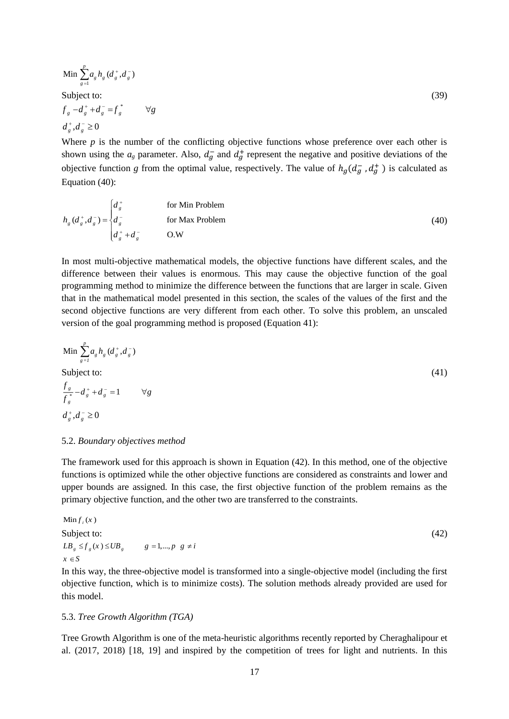Min 
$$
\sum_{g=1}^{p} a_g h_g (d_g^+, d_g^-)
$$
  
Subject to:  

$$
f_g - d_g^+ + d_g^- = f_g^* \qquad \forall g
$$
 (39)

 $d_{g}^{+}, d_{g}^{-}$  ≥ 0

Where  $p$  is the number of the conflicting objective functions whose preference over each other is shown using the  $a_g$  parameter. Also,  $d_g^-$  and  $d_g^+$  represent the negative and positive deviations of the objective function *g* from the optimal value, respectively. The value of  $h_g(d_g^-, d_g^+)$  is calculated as Equation (40):

$$
h_g(d_g^+, d_g^-) = \begin{cases} d_g^+ & \text{for Min Problem} \\ d_g^- & \text{for Max Problem} \\ d_g^+ + d_g^- & \text{O.W} \end{cases}
$$
 (40)

In most multi-objective mathematical models, the objective functions have different scales, and the difference between their values is enormous. This may cause the objective function of the goal programming method to minimize the difference between the functions that are larger in scale. Given that in the mathematical model presented in this section, the scales of the values of the first and the second objective functions are very different from each other. To solve this problem, an unscaled version of the goal programming method is proposed (Equation 41):

Min 
$$
\sum_{g=1}^{p} a_g h_g (d_g^+, d_g^-)
$$
  
Subject to:  

$$
\frac{f_g}{f_g^*} - d_g^+ + d_g^- = 1 \qquad \forall g
$$
  

$$
d_g^+, d_g^- \ge 0
$$
 (41)

#### 5.2. *Boundary objectives method*

The framework used for this approach is shown in Equation (42). In this method, one of the objective functions is optimized while the other objective functions are considered as constraints and lower and upper bounds are assigned. In this case, the first objective function of the problem remains as the primary objective function, and the other two are transferred to the constraints.

Min 
$$
f_i(x)
$$
  
\nSubject to:  
\n $LB_g \le f_g(x) \le UB_g$   $g = 1,...,p \ g \neq i$   
\n $x \in S$  (42)

In this way, the three-objective model is transformed into a single-objective model (including the first objective function, which is to minimize costs). The solution methods already provided are used for this model.

#### 5.3. *Tree Growth Algorithm (TGA)*

Tree Growth Algorithm is one of the meta-heuristic algorithms recently reported by Cheraghalipour et al. (2017, 2018) [18, 19] and inspired by the competition of trees for light and nutrients. In this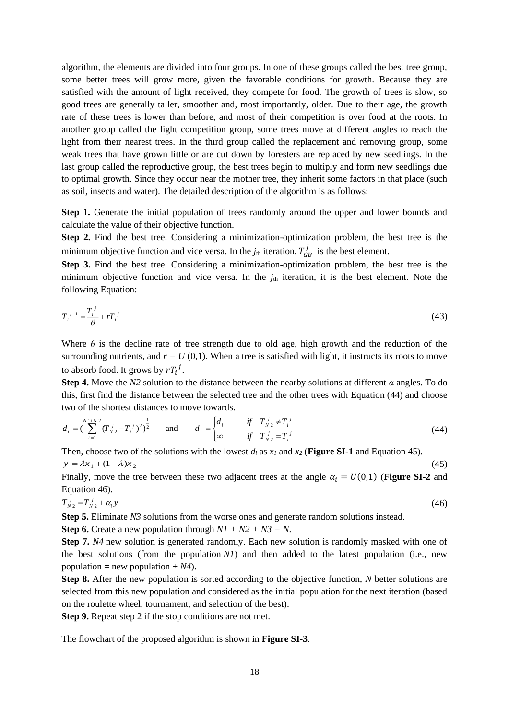algorithm, the elements are divided into four groups. In one of these groups called the best tree group, some better trees will grow more, given the favorable conditions for growth. Because they are satisfied with the amount of light received, they compete for food. The growth of trees is slow, so good trees are generally taller, smoother and, most importantly, older. Due to their age, the growth rate of these trees is lower than before, and most of their competition is over food at the roots. In another group called the light competition group, some trees move at different angles to reach the light from their nearest trees. In the third group called the replacement and removing group, some weak trees that have grown little or are cut down by foresters are replaced by new seedlings. In the last group called the reproductive group, the best trees begin to multiply and form new seedlings due to optimal growth. Since they occur near the mother tree, they inherit some factors in that place (such as soil, insects and water). The detailed description of the algorithm is as follows:

**Step 1.** Generate the initial population of trees randomly around the upper and lower bounds and calculate the value of their objective function.

**Step 2.** Find the best tree. Considering a minimization-optimization problem, the best tree is the minimum objective function and vice versa. In the  $j_{th}$  iteration,  $T_{GB}^J$  is the best element.

**Step 3.** Find the best tree. Considering a minimization-optimization problem, the best tree is the minimum objective function and vice versa. In the  $j<sub>th</sub>$  iteration, it is the best element. Note the following Equation:

$$
T_i^{\ j+1} = \frac{T_i^{\ j}}{\theta} + rT_i^{\ j} \tag{43}
$$

Where  $\theta$  is the decline rate of tree strength due to old age, high growth and the reduction of the surrounding nutrients, and  $r = U(0,1)$ . When a tree is satisfied with light, it instructs its roots to move to absorb food. It grows by  $rT_i^j$ .

**Step 4.** Move the *N2* solution to the distance between the nearby solutions at different *α* angles. To do this, first find the distance between the selected tree and the other trees with Equation (44) and choose two of the shortest distances to move towards.

$$
d_i = \left(\sum_{i=1}^{N} \binom{1+N^2}{N^2} - T_i^j\right)^2 \bigg)^{\frac{1}{2}} \quad \text{and} \quad d_i = \begin{cases} d_i & \text{if} \quad T_{N^2} \neq T_i^j \\ \infty & \text{if} \quad T_{N^2}^j = T_i^j \end{cases} \tag{44}
$$

Then, choose two of the solutions with the lowest  $d_i$  as  $x_i$  and  $x_2$  (**Figure SI-1** and Equation 45).  $y = \lambda x_1 + (1 - \lambda)x_2$ (45)

Finally, move the tree between these two adjacent trees at the angle  $\alpha_i = U(0,1)$  (**Figure SI-2** and Equation 46).

$$
T_{N2}^j = T_{N2}^j + \alpha_i y \tag{46}
$$

**Step 5.** Eliminate *N3* solutions from the worse ones and generate random solutions instead.

**Step 6.** Create a new population through *N1 + N2 + N3 = N*.

**Step 7.** *N4* new solution is generated randomly. Each new solution is randomly masked with one of the best solutions (from the population *N1*) and then added to the latest population (i.e., new population = new population  $+ N4$ ).

**Step 8.** After the new population is sorted according to the objective function, *N* better solutions are selected from this new population and considered as the initial population for the next iteration (based on the roulette wheel, tournament, and selection of the best).

**Step 9.** Repeat step 2 if the stop conditions are not met.

The flowchart of the proposed algorithm is shown in **Figure SI-3**.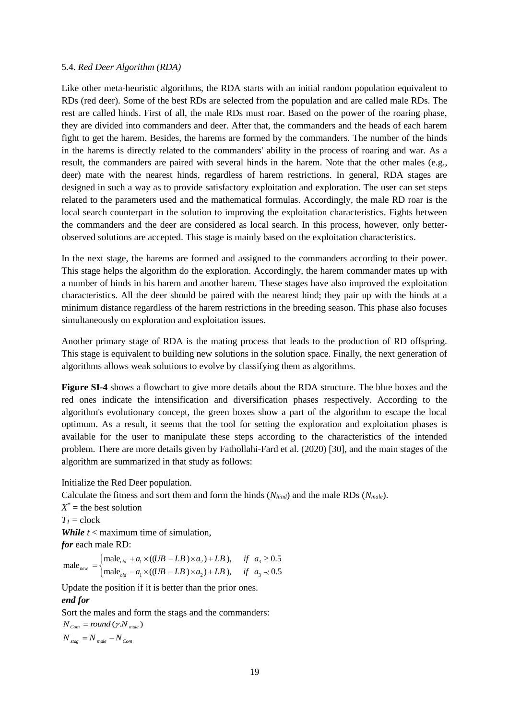#### 5.4. *Red Deer Algorithm (RDA)*

Like other meta-heuristic algorithms, the RDA starts with an initial random population equivalent to RDs (red deer). Some of the best RDs are selected from the population and are called male RDs. The rest are called hinds. First of all, the male RDs must roar. Based on the power of the roaring phase, they are divided into commanders and deer. After that, the commanders and the heads of each harem fight to get the harem. Besides, the harems are formed by the commanders. The number of the hinds in the harems is directly related to the commanders' ability in the process of roaring and war. As a result, the commanders are paired with several hinds in the harem. Note that the other males (e.g., deer) mate with the nearest hinds, regardless of harem restrictions. In general, RDA stages are designed in such a way as to provide satisfactory exploitation and exploration. The user can set steps related to the parameters used and the mathematical formulas. Accordingly, the male RD roar is the local search counterpart in the solution to improving the exploitation characteristics. Fights between the commanders and the deer are considered as local search. In this process, however, only betterobserved solutions are accepted. This stage is mainly based on the exploitation characteristics.

In the next stage, the harems are formed and assigned to the commanders according to their power. This stage helps the algorithm do the exploration. Accordingly, the harem commander mates up with a number of hinds in his harem and another harem. These stages have also improved the exploitation characteristics. All the deer should be paired with the nearest hind; they pair up with the hinds at a minimum distance regardless of the harem restrictions in the breeding season. This phase also focuses simultaneously on exploration and exploitation issues.

Another primary stage of RDA is the mating process that leads to the production of RD offspring. This stage is equivalent to building new solutions in the solution space. Finally, the next generation of algorithms allows weak solutions to evolve by classifying them as algorithms.

**Figure SI-4** shows a flowchart to give more details about the RDA structure. The blue boxes and the red ones indicate the intensification and diversification phases respectively. According to the algorithm's evolutionary concept, the green boxes show a part of the algorithm to escape the local optimum. As a result, it seems that the tool for setting the exploration and exploitation phases is available for the user to manipulate these steps according to the characteristics of the intended problem. There are more details given by Fathollahi-Fard et al. (2020) [30], and the main stages of the algorithm are summarized in that study as follows:

Initialize the Red Deer population.

Calculate the fitness and sort them and form the hinds (*Nhind*) and the male RDs (*Nmale*).

 $X^*$  = the best solution

$$
T_l = \mathrm{clock}
$$

*While t* < maximum time of simulation,

*for* each male RD:

$$
\text{male}_{\text{new}} = \begin{cases} \text{male}_{\text{old}} + a_1 \times ((UB - LB) \times a_2) + LB), & \text{if } a_3 \ge 0.5\\ \text{male}_{\text{old}} - a_1 \times ((UB - LB) \times a_2) + LB), & \text{if } a_3 \prec 0.5 \end{cases}
$$

Update the position if it is better than the prior ones.

# *end for*

Sort the males and form the stags and the commanders:

 $N_{\textit{Com}} = round\left(\gamma.N_{\textit{male}}\right)$  $N$   $_{stag}$   $=$   $N$   $_{male}$   $N$   $_{Com}$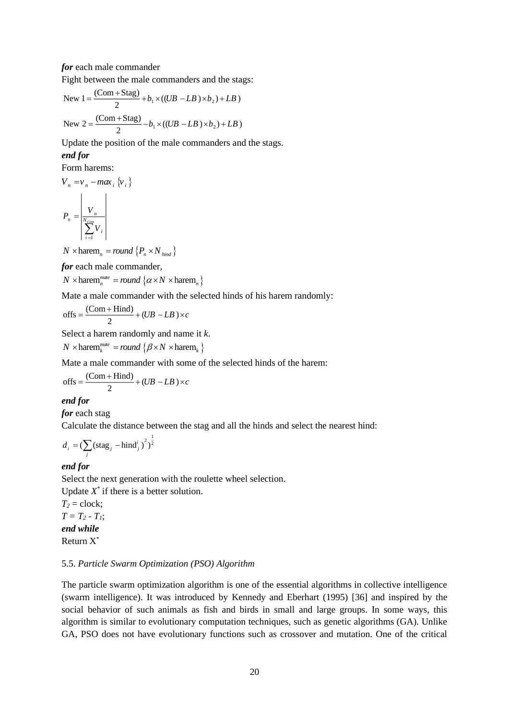*for* each male commander

Fight between the male commanders and the stags:

New 
$$
1 = \frac{(Com + Stag)}{2} + b_1 \times ((UB - LB) \times b_2) + LB)
$$
  
New  $2 = \frac{(Com + Stag)}{2} - b_1 \times ((UB - LB) \times b_2) + LB)$ 

Update the position of the male commanders and the stags. *end for*

Form harems:

$$
V_n = v_n - max_i \{v_i\}
$$

$$
P_n = \left| \frac{V_n}{\sum_{i=1}^{N_{Com}} V_i} \right|
$$

 $N \times \text{harem}_n = round \{P_n \times N_{bind}\}$ 

*for* each male commander,

 $N \times \text{harem}_n^{\text{mate}} = round \{ \alpha \times N \times \text{harem}_n \}$ 

Mate a male commander with the selected hinds of his harem randomly:

offs = 
$$
\frac{(Com + Hind)}{2} + (UB - LB) \times c
$$

Select a harem randomly and name it *k*.

 $N \times \text{harem}_{k}^{mate} = round \{ \beta \times N \times \text{harem}_{k} \}$ 

Mate a male commander with some of the selected hinds of the harem:

$$
offs = \frac{(Com + Hind)}{2} + (UB - LB) \times c
$$

# *end for*

*for* each stag

Calculate the distance between the stag and all the hinds and select the nearest hind:

$$
d_i = (\sum_j (\text{stag}_j - \text{hind}_j^i)^2)^{\frac{1}{2}}
$$

# *end for*

Select the next generation with the roulette wheel selection.

Update  $X^*$  if there is a better solution.

 $T_2$  = clock;  $T = T_2 - T_1$ ; *end while* Return X\*

# 5.5. *Particle Swarm Optimization (PSO) Algorithm*

The particle swarm optimization algorithm is one of the essential algorithms in collective intelligence (swarm intelligence). It was introduced by Kennedy and Eberhart (1995) [36] and inspired by the social behavior of such animals as fish and birds in small and large groups. In some ways, this algorithm is similar to evolutionary computation techniques, such as genetic algorithms (GA). Unlike GA, PSO does not have evolutionary functions such as crossover and mutation. One of the critical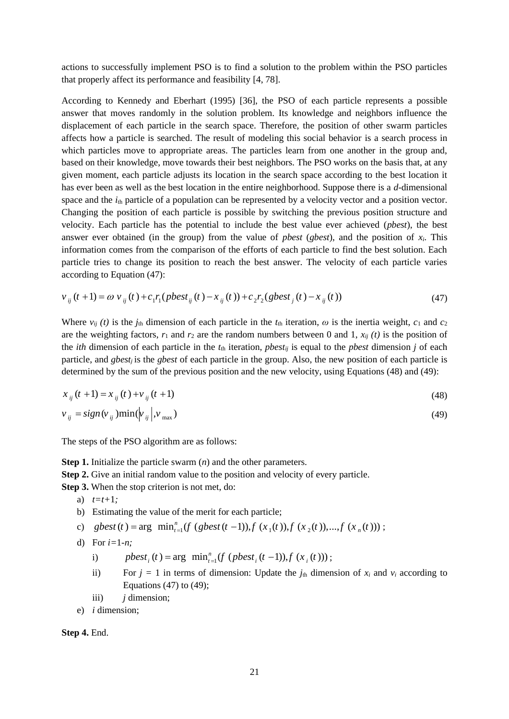actions to successfully implement PSO is to find a solution to the problem within the PSO particles that properly affect its performance and feasibility [4, 78].

According to Kennedy and Eberhart (1995) [36], the PSO of each particle represents a possible answer that moves randomly in the solution problem. Its knowledge and neighbors influence the displacement of each particle in the search space. Therefore, the position of other swarm particles affects how a particle is searched. The result of modeling this social behavior is a search process in which particles move to appropriate areas. The particles learn from one another in the group and, based on their knowledge, move towards their best neighbors. The PSO works on the basis that, at any given moment, each particle adjusts its location in the search space according to the best location it has ever been as well as the best location in the entire neighborhood. Suppose there is a *d*-dimensional space and the  $i_{th}$  particle of a population can be represented by a velocity vector and a position vector. Changing the position of each particle is possible by switching the previous position structure and velocity. Each particle has the potential to include the best value ever achieved (*pbest*), the best answer ever obtained (in the group) from the value of *pbest* (*gbest*), and the position of *xi*. This information comes from the comparison of the efforts of each particle to find the best solution. Each particle tries to change its position to reach the best answer. The velocity of each particle varies according to Equation (47):

$$
v_{ij}(t+1) = \omega v_{ij}(t) + c_1 r_1 (pbest_{ij}(t) - x_{ij}(t)) + c_2 r_2 (gbest_j(t) - x_{ij}(t))
$$
\n(47)

Where  $v_{ij}(t)$  is the  $j_{th}$  dimension of each particle in the  $t_{th}$  iteration,  $\omega$  is the inertia weight,  $c_1$  and  $c_2$ are the weighting factors,  $r_1$  and  $r_2$  are the random numbers between 0 and 1,  $x_{ii}$  (t) is the position of the *ith* dimension of each particle in the  $t<sub>th</sub>$  iteration, *pbest<sub>ij</sub>* is equal to the *pbest* dimension *j* of each particle, and *gbest<sup>j</sup>* is the *gbest* of each particle in the group. Also, the new position of each particle is determined by the sum of the previous position and the new velocity, using Equations (48) and (49):

$$
x_{ij}(t+1) = x_{ij}(t) + v_{ij}(t+1)
$$
\n(48)

$$
v_{ij} = sign(v_{ij})min(v_{ij}|, v_{max})
$$
\n(49)

The steps of the PSO algorithm are as follows:

**Step 1.** Initialize the particle swarm (*n*) and the other parameters.

**Step 2.** Give an initial random value to the position and velocity of every particle.

**Step 3.** When the stop criterion is not met, do:

- a) *t=t+*1*;*
- b) Estimating the value of the merit for each particle;
- c) gbest (t) = arg  $\min_{t=1}^{n} (f (gbest(t-1)), f (x_1(t)), f (x_2(t)),..., f (x_n(t)))$ ;
- d) For *i=*1*-n;*
	- i)  $pbest_i(t) = \arg \min_{t=1}^{n} (f (pbest_i(t-1)), f (x_i(t)))$ ;
	- ii) For  $j = 1$  in terms of dimension: Update the  $j_{th}$  dimension of  $x_i$  and  $v_i$  according to Equations  $(47)$  to  $(49)$ ;
	- iii) *j* dimension;
- e) *i* dimension;

**Step 4.** End.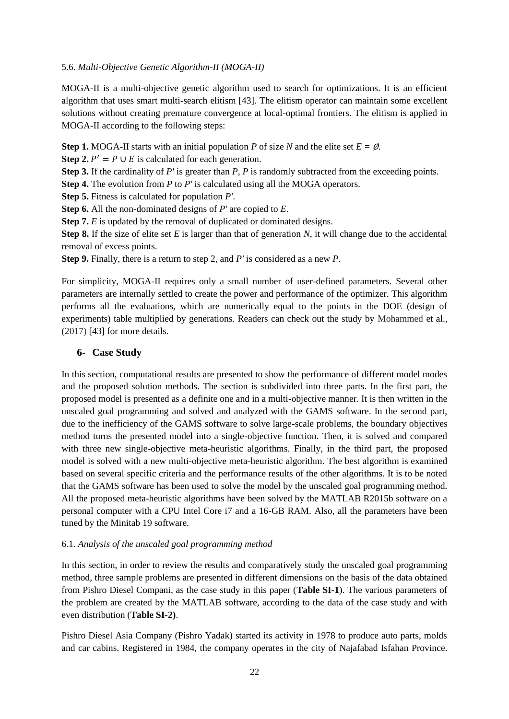# 5.6. *Multi-Objective Genetic Algorithm-II (MOGA-II)*

MOGA-II is a multi-objective genetic algorithm used to search for optimizations. It is an efficient algorithm that uses smart multi-search elitism [43]. The elitism operator can maintain some excellent solutions without creating premature convergence at local-optimal frontiers. The elitism is applied in MOGA-II according to the following steps:

**Step 1.** MOGA-II starts with an initial population *P* of size *N* and the elite set  $E = \emptyset$ .

**Step 2.**  $P' = P \cup E$  is calculated for each generation.

**Step 3.** If the cardinality of *P'* is greater than *P*, *P* is randomly subtracted from the exceeding points.

**Step 4.** The evolution from *P* to *P'* is calculated using all the MOGA operators.

**Step 5.** Fitness is calculated for population *P'*.

**Step 6.** All the non-dominated designs of *P'* are copied to *E*.

**Step 7.** *E* is updated by the removal of duplicated or dominated designs.

**Step 8.** If the size of elite set *E* is larger than that of generation *N*, it will change due to the accidental removal of excess points.

**Step 9.** Finally, there is a return to step 2, and *P'* is considered as a new *P*.

For simplicity, MOGA-II requires only a small number of user-defined parameters. Several other parameters are internally settled to create the power and performance of the optimizer. This algorithm performs all the evaluations, which are numerically equal to the points in the DOE (design of experiments) table multiplied by generations. Readers can check out the study by Mohammed et al., (2017) [43] for more details.

# **6- Case Study**

In this section, computational results are presented to show the performance of different model modes and the proposed solution methods. The section is subdivided into three parts. In the first part, the proposed model is presented as a definite one and in a multi-objective manner. It is then written in the unscaled goal programming and solved and analyzed with the GAMS software. In the second part, due to the inefficiency of the GAMS software to solve large-scale problems, the boundary objectives method turns the presented model into a single-objective function. Then, it is solved and compared with three new single-objective meta-heuristic algorithms. Finally, in the third part, the proposed model is solved with a new multi-objective meta-heuristic algorithm. The best algorithm is examined based on several specific criteria and the performance results of the other algorithms. It is to be noted that the GAMS software has been used to solve the model by the unscaled goal programming method. All the proposed meta-heuristic algorithms have been solved by the MATLAB R2015b software on a personal computer with a CPU Intel Core i7 and a 16-GB RAM. Also, all the parameters have been tuned by the Minitab 19 software.

# 6.1. *Analysis of the unscaled goal programming method*

In this section, in order to review the results and comparatively study the unscaled goal programming method, three sample problems are presented in different dimensions on the basis of the data obtained from Pishro Diesel Compani, as the case study in this paper (**Table SI-1**). The various parameters of the problem are created by the MATLAB software, according to the data of the case study and with even distribution (**Table SI-2)**.

Pishro Diesel Asia Company (Pishro Yadak) started its activity in 1978 to produce auto parts, molds and car cabins. Registered in 1984, the company operates in the city of Najafabad Isfahan Province.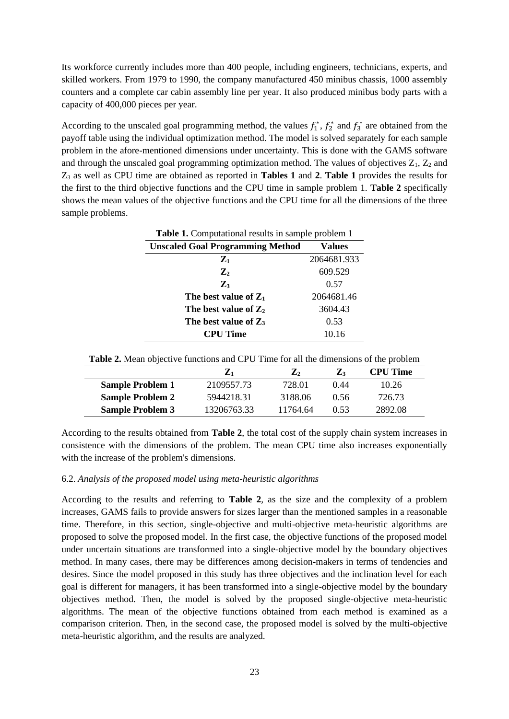Its workforce currently includes more than 400 people, including engineers, technicians, experts, and skilled workers. From 1979 to 1990, the company manufactured 450 minibus chassis, 1000 assembly counters and a complete car cabin assembly line per year. It also produced minibus body parts with a capacity of 400,000 pieces per year.

According to the unscaled goal programming method, the values  $f_1^*, f_2^*$  and  $f_3^*$  are obtained from the payoff table using the individual optimization method. The model is solved separately for each sample problem in the afore-mentioned dimensions under uncertainty. This is done with the GAMS software and through the unscaled goal programming optimization method. The values of objectives  $Z_1$ ,  $Z_2$  and Z<sup>3</sup> as well as CPU time are obtained as reported in **Tables 1** and **2**. **Table 1** provides the results for the first to the third objective functions and the CPU time in sample problem 1. **Table 2** specifically shows the mean values of the objective functions and the CPU time for all the dimensions of the three sample problems.

| <b>Table 1.</b> Computational results in sample problem 1 |             |  |  |  |  |
|-----------------------------------------------------------|-------------|--|--|--|--|
| <b>Unscaled Goal Programming Method</b>                   | Values      |  |  |  |  |
| $\mathbf{Z}_1$                                            | 2064681.933 |  |  |  |  |
| $\mathbf{Z}_2$                                            | 609.529     |  |  |  |  |
| $\mathbf{Z}_3$                                            | 0.57        |  |  |  |  |
| The best value of $Z_1$                                   | 2064681.46  |  |  |  |  |
| The best value of $Z_2$                                   | 3604.43     |  |  |  |  |
| The best value of $Z_3$                                   | 0.53        |  |  |  |  |
| <b>CPU Time</b>                                           | 10.16       |  |  |  |  |

| <b>Table 2.</b> Mean objective functions and CPU Time for all the dimensions of the problem |  |  |  |
|---------------------------------------------------------------------------------------------|--|--|--|
|---------------------------------------------------------------------------------------------|--|--|--|

|                         | $\mathbf{Z}_1$ | $\mathbf{Z}_2$ | $Z_3$ | <b>CPU Time</b> |
|-------------------------|----------------|----------------|-------|-----------------|
| <b>Sample Problem 1</b> | 2109557.73     | 728.01         | 0.44  | 10.26           |
| <b>Sample Problem 2</b> | 5944218.31     | 3188.06        | 0.56  | 726.73          |
| <b>Sample Problem 3</b> | 13206763.33    | 11764.64       | 0 53  | 2892.08         |

According to the results obtained from **Table 2**, the total cost of the supply chain system increases in consistence with the dimensions of the problem. The mean CPU time also increases exponentially with the increase of the problem's dimensions.

#### 6.2. *Analysis of the proposed model using meta-heuristic algorithms*

According to the results and referring to **Table 2**, as the size and the complexity of a problem increases, GAMS fails to provide answers for sizes larger than the mentioned samples in a reasonable time. Therefore, in this section, single-objective and multi-objective meta-heuristic algorithms are proposed to solve the proposed model. In the first case, the objective functions of the proposed model under uncertain situations are transformed into a single-objective model by the boundary objectives method. In many cases, there may be differences among decision-makers in terms of tendencies and desires. Since the model proposed in this study has three objectives and the inclination level for each goal is different for managers, it has been transformed into a single-objective model by the boundary objectives method. Then, the model is solved by the proposed single-objective meta-heuristic algorithms. The mean of the objective functions obtained from each method is examined as a comparison criterion. Then, in the second case, the proposed model is solved by the multi-objective meta-heuristic algorithm, and the results are analyzed.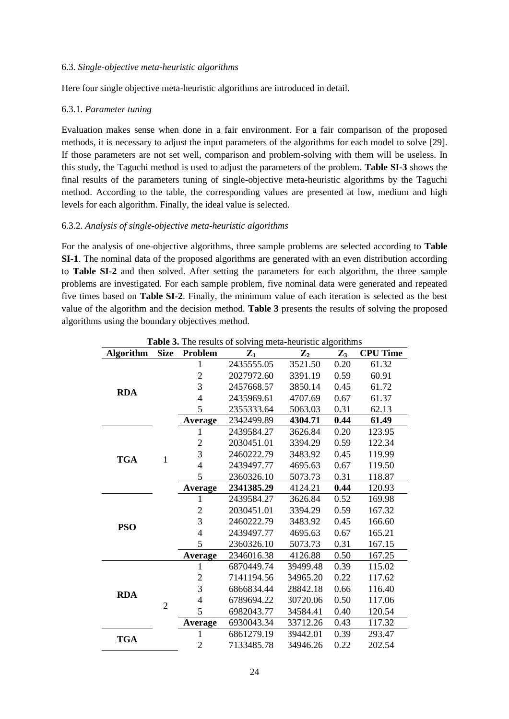#### 6.3. *Single-objective meta-heuristic algorithms*

Here four single objective meta-heuristic algorithms are introduced in detail.

#### 6.3.1. *Parameter tuning*

Evaluation makes sense when done in a fair environment. For a fair comparison of the proposed methods, it is necessary to adjust the input parameters of the algorithms for each model to solve [29]. If those parameters are not set well, comparison and problem-solving with them will be useless. In this study, the Taguchi method is used to adjust the parameters of the problem. **Table SI-3** shows the final results of the parameters tuning of single-objective meta-heuristic algorithms by the Taguchi method. According to the table, the corresponding values are presented at low, medium and high levels for each algorithm. Finally, the ideal value is selected.

#### 6.3.2. *Analysis of single-objective meta-heuristic algorithms*

For the analysis of one-objective algorithms, three sample problems are selected according to **Table SI-1**. The nominal data of the proposed algorithms are generated with an even distribution according to **Table SI-2** and then solved. After setting the parameters for each algorithm, the three sample problems are investigated. For each sample problem, five nominal data were generated and repeated five times based on **Table SI-2**. Finally, the minimum value of each iteration is selected as the best value of the algorithm and the decision method. **Table 3** presents the results of solving the proposed algorithms using the boundary objectives method.

| Table 3. The results of solving meta-heuristic algorithms |                |                            |                |                |                |                 |  |  |
|-----------------------------------------------------------|----------------|----------------------------|----------------|----------------|----------------|-----------------|--|--|
| <b>Algorithm</b>                                          | <b>Size</b>    | <b>Problem</b>             | $\mathbf{Z}_1$ | $\mathbf{Z}_2$ | $\mathbf{Z}_3$ | <b>CPU Time</b> |  |  |
|                                                           |                | 1                          | 2435555.05     | 3521.50        | 0.20           | 61.32           |  |  |
|                                                           |                | $\overline{c}$             | 2027972.60     | 3391.19        | 0.59           | 60.91           |  |  |
|                                                           |                | $\overline{3}$             | 2457668.57     | 3850.14        | 0.45           | 61.72           |  |  |
| <b>RDA</b>                                                |                | $\overline{4}$             | 2435969.61     | 4707.69        | 0.67           | 61.37           |  |  |
|                                                           |                | 5                          | 2355333.64     | 5063.03        | 0.31           | 62.13           |  |  |
|                                                           |                | Average                    | 2342499.89     | 4304.71        | 0.44           | 61.49           |  |  |
|                                                           |                | 1                          | 2439584.27     | 3626.84        | 0.20           | 123.95          |  |  |
|                                                           |                | $\overline{2}$             | 2030451.01     | 3394.29        | 0.59           | 122.34          |  |  |
| <b>TGA</b>                                                | $\mathbf{1}$   | $\overline{3}$             | 2460222.79     | 3483.92        | 0.45           | 119.99          |  |  |
|                                                           |                | $\overline{4}$             | 2439497.77     | 4695.63        | 0.67           | 119.50          |  |  |
|                                                           |                | 5                          | 2360326.10     | 5073.73        | 0.31           | 118.87          |  |  |
|                                                           |                | Average                    | 2341385.29     | 4124.21        | 0.44           | 120.93          |  |  |
|                                                           |                | $\mathbf{1}$               | 2439584.27     | 3626.84        | 0.52           | 169.98          |  |  |
|                                                           |                | $\overline{2}$             | 2030451.01     | 3394.29        | 0.59           | 167.32          |  |  |
| <b>PSO</b>                                                |                | 3                          | 2460222.79     | 3483.92        | 0.45           | 166.60          |  |  |
|                                                           |                | $\overline{4}$             | 2439497.77     | 4695.63        | 0.67           | 165.21          |  |  |
|                                                           |                | 5<br>2360326.10<br>5073.73 |                | 0.31           | 167.15         |                 |  |  |
|                                                           |                | <b>Average</b>             | 2346016.38     | 4126.88        | 0.50           | 167.25          |  |  |
|                                                           |                | $\mathbf{1}$               | 6870449.74     | 39499.48       | 0.39           | 115.02          |  |  |
|                                                           |                | $\overline{2}$             | 7141194.56     | 34965.20       | 0.22           | 117.62          |  |  |
| <b>RDA</b>                                                |                | $\overline{3}$             | 6866834.44     | 28842.18       | 0.66           | 116.40          |  |  |
|                                                           | $\overline{2}$ | $\overline{4}$             | 6789694.22     | 30720.06       | 0.50           | 117.06          |  |  |
|                                                           |                | 5                          | 6982043.77     | 34584.41       | 0.40           | 120.54          |  |  |
|                                                           |                | <b>Average</b>             | 6930043.34     | 33712.26       | 0.43           | 117.32          |  |  |
| <b>TGA</b>                                                |                | $\mathbf{1}$               | 6861279.19     | 39442.01       | 0.39           | 293.47          |  |  |
|                                                           |                | $\overline{2}$             | 7133485.78     | 34946.26       | 0.22           | 202.54          |  |  |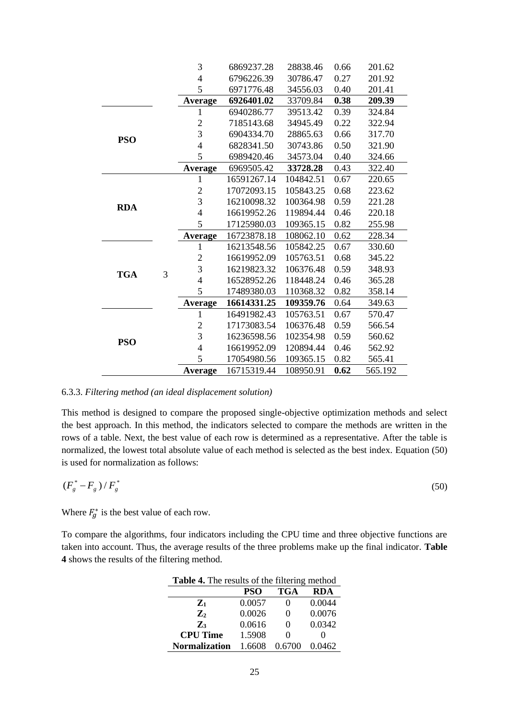|            |   | 3              | 6869237.28               | 28838.46  | 0.66 | 201.62  |
|------------|---|----------------|--------------------------|-----------|------|---------|
|            |   |                | 6796226.39               | 30786.47  | 0.27 | 201.92  |
|            |   | 5              | 6971776.48               | 34556.03  | 0.40 | 201.41  |
|            |   | Average        | 6926401.02               | 33709.84  | 0.38 | 209.39  |
|            |   | 1              | 6940286.77               | 39513.42  | 0.39 | 324.84  |
|            |   | $\mathbf{2}$   | 7185143.68               | 34945.49  | 0.22 | 322.94  |
| <b>PSO</b> |   | 3              | 6904334.70               | 28865.63  | 0.66 | 317.70  |
|            |   | $\overline{4}$ | 6828341.50               | 30743.86  | 0.50 | 321.90  |
|            |   | 5              | 6989420.46               | 34573.04  | 0.40 | 324.66  |
|            |   | <b>Average</b> | 6969505.42               | 33728.28  | 0.43 | 322.40  |
|            |   | 1              | 16591267.14              | 104842.51 | 0.67 | 220.65  |
|            |   | $\mathfrak{2}$ | 17072093.15<br>105843.25 |           | 0.68 | 223.62  |
| <b>RDA</b> |   | 3              | 16210098.32              | 100364.98 | 0.59 | 221.28  |
|            |   | $\overline{4}$ | 16619952.26              | 119894.44 | 0.46 | 220.18  |
|            |   | 5              | 17125980.03              | 109365.15 | 0.82 | 255.98  |
|            |   | Average        | 16723878.18              | 108062.10 | 0.62 | 228.34  |
|            |   | 1              | 16213548.56              | 105842.25 | 0.67 | 330.60  |
|            | 3 | $\mathfrak{2}$ | 16619952.09              | 105763.51 | 0.68 | 345.22  |
| <b>TGA</b> |   | 3              | 16219823.32              | 106376.48 | 0.59 | 348.93  |
|            |   | $\overline{4}$ | 16528952.26              | 118448.24 | 0.46 | 365.28  |
|            |   | 5              | 17489380.03              | 110368.32 | 0.82 | 358.14  |
|            |   | Average        | 16614331.25              | 109359.76 | 0.64 | 349.63  |
|            |   | 1              | 16491982.43              | 105763.51 | 0.67 | 570.47  |
|            |   | $\mathfrak{2}$ | 17173083.54              | 106376.48 | 0.59 | 566.54  |
| <b>PSO</b> |   | 3              | 16236598.56              | 102354.98 | 0.59 | 560.62  |
|            |   | $\overline{4}$ | 16619952.09              | 120894.44 | 0.46 | 562.92  |
|            |   | 5              | 17054980.56              | 109365.15 | 0.82 | 565.41  |
|            |   | Average        | 16715319.44              | 108950.91 | 0.62 | 565.192 |
|            |   |                |                          |           |      |         |

#### 6.3.3. *Filtering method (an ideal displacement solution)*

This method is designed to compare the proposed single-objective optimization methods and select the best approach. In this method, the indicators selected to compare the methods are written in the rows of a table. Next, the best value of each row is determined as a representative. After the table is normalized, the lowest total absolute value of each method is selected as the best index. Equation (50) is used for normalization as follows:

$$
\left(F_s^* - F_s\right)/F_s^*\tag{50}
$$

Where  $F_g^*$  is the best value of each row.

To compare the algorithms, four indicators including the CPU time and three objective functions are taken into account. Thus, the average results of the three problems make up the final indicator. **Table 4** shows the results of the filtering method.

| <b>Table 4.</b> The results of the filtering method |            |                   |        |  |  |  |  |
|-----------------------------------------------------|------------|-------------------|--------|--|--|--|--|
|                                                     | <b>PSO</b> | <b>TGA</b>        | RDA    |  |  |  |  |
| $\mathbf{Z}_1$                                      | 0.0057     |                   | 0.0044 |  |  |  |  |
| $\mathbf{Z}_2$                                      | 0.0026     | 0                 | 0.0076 |  |  |  |  |
| $\mathbf{Z}$                                        | 0.0616     | 0                 | 0.0342 |  |  |  |  |
| <b>CPU Time</b>                                     | 1.5908     | $\mathbf{\Omega}$ |        |  |  |  |  |
| <b>Normalization</b>                                | 1.6608     | 0.6700            | 0.0462 |  |  |  |  |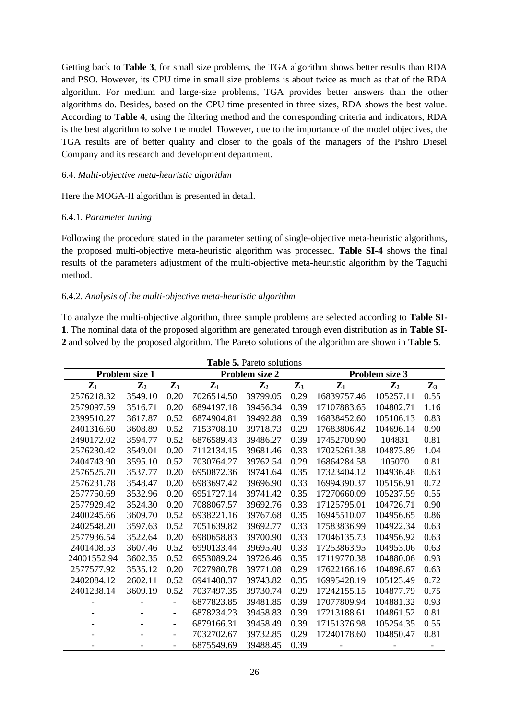Getting back to **Table 3**, for small size problems, the TGA algorithm shows better results than RDA and PSO. However, its CPU time in small size problems is about twice as much as that of the RDA algorithm. For medium and large-size problems, TGA provides better answers than the other algorithms do. Besides, based on the CPU time presented in three sizes, RDA shows the best value. According to **Table 4**, using the filtering method and the corresponding criteria and indicators, RDA is the best algorithm to solve the model. However, due to the importance of the model objectives, the TGA results are of better quality and closer to the goals of the managers of the Pishro Diesel Company and its research and development department.

# 6.4. *Multi-objective meta-heuristic algorithm*

Here the MOGA-II algorithm is presented in detail.

#### 6.4.1. *Parameter tuning*

Following the procedure stated in the parameter setting of single-objective meta-heuristic algorithms, the proposed multi-objective meta-heuristic algorithm was processed. **Table SI-4** shows the final results of the parameters adjustment of the multi-objective meta-heuristic algorithm by the Taguchi method.

#### 6.4.2. *Analysis of the multi-objective meta-heuristic algorithm*

To analyze the multi-objective algorithm, three sample problems are selected according to **Table SI-1**. The nominal data of the proposed algorithm are generated through even distribution as in **Table SI-2** and solved by the proposed algorithm. The Pareto solutions of the algorithm are shown in **Table 5**.

| <b>Lable <math>\mathcal{P}_1</math>.</b> Labelo Solutions<br>Problem size 1<br>Problem size 2<br>Problem size 3 |         |                          |                |                |                |                |                |                |
|-----------------------------------------------------------------------------------------------------------------|---------|--------------------------|----------------|----------------|----------------|----------------|----------------|----------------|
| $\mathbf{Z}_1$<br>$\mathbf{Z}_2$                                                                                |         | $\mathbf{Z}_3$           | $\mathbf{Z}_1$ | $\mathbf{Z}_2$ | $\mathbf{Z}_3$ | $\mathbf{Z}_1$ | $\mathbf{Z}_2$ | $\mathbf{Z}_3$ |
| 2576218.32                                                                                                      | 3549.10 | 0.20                     | 7026514.50     | 39799.05       | 0.29           | 16839757.46    | 105257.11      | 0.55           |
| 2579097.59                                                                                                      | 3516.71 | 0.20                     | 6894197.18     | 39456.34       | 0.39           | 17107883.65    | 104802.71      | 1.16           |
| 2399510.27                                                                                                      | 3617.87 | 0.52                     | 6874904.81     | 39492.88       | 0.39           | 16838452.60    | 105106.13      | 0.83           |
| 2401316.60                                                                                                      | 3608.89 | 0.52                     | 7153708.10     | 39718.73       | 0.29           | 17683806.42    | 104696.14      | 0.90           |
| 2490172.02                                                                                                      | 3594.77 | 0.52                     | 6876589.43     | 39486.27       | 0.39           | 17452700.90    | 104831         | 0.81           |
| 2576230.42                                                                                                      | 3549.01 | 0.20                     | 7112134.15     | 39681.46       | 0.33           | 17025261.38    | 104873.89      | 1.04           |
| 2404743.90                                                                                                      | 3595.10 | 0.52                     | 7030764.27     | 39762.54       | 0.29           | 16864284.58    | 105070         | 0.81           |
| 2576525.70                                                                                                      | 3537.77 | 0.20                     | 6950872.36     | 39741.64       | 0.35           | 17323404.12    | 104936.48      | 0.63           |
| 2576231.78                                                                                                      | 3548.47 | 0.20                     | 6983697.42     | 39696.90       | 0.33           | 16994390.37    | 105156.91      | 0.72           |
| 2577750.69                                                                                                      | 3532.96 | 0.20                     | 6951727.14     | 39741.42       | 0.35           | 17270660.09    | 105237.59      | 0.55           |
| 2577929.42                                                                                                      | 3524.30 | 0.20                     | 7088067.57     | 39692.76       | 0.33           | 17125795.01    | 104726.71      | 0.90           |
| 2400245.66                                                                                                      | 3609.70 | 0.52                     | 6938221.16     | 39767.68       | 0.35           | 16945510.07    | 104956.65      | 0.86           |
| 2402548.20                                                                                                      | 3597.63 | 0.52                     | 7051639.82     | 39692.77       | 0.33           | 17583836.99    | 104922.34      | 0.63           |
| 2577936.54                                                                                                      | 3522.64 | 0.20                     | 6980658.83     | 39700.90       | 0.33           | 17046135.73    | 104956.92      | 0.63           |
| 2401408.53                                                                                                      | 3607.46 | 0.52                     | 6990133.44     | 39695.40       | 0.33           | 17253863.95    | 104953.06      | 0.63           |
| 24001552.94                                                                                                     | 3602.35 | 0.52                     | 6953089.24     | 39726.46       | 0.35           | 17119770.38    | 104880.06      | 0.93           |
| 2577577.92                                                                                                      | 3535.12 | 0.20                     | 7027980.78     | 39771.08       | 0.29           | 17622166.16    | 104898.67      | 0.63           |
| 2402084.12                                                                                                      | 2602.11 | 0.52                     | 6941408.37     | 39743.82       | 0.35           | 16995428.19    | 105123.49      | 0.72           |
| 2401238.14                                                                                                      | 3609.19 | 0.52                     | 7037497.35     | 39730.74       | 0.29           | 17242155.15    | 104877.79      | 0.75           |
|                                                                                                                 |         |                          | 6877823.85     | 39481.85       | 0.39           | 17077809.94    | 104881.32      | 0.93           |
|                                                                                                                 |         | $\overline{\phantom{a}}$ | 6878234.23     | 39458.83       | 0.39           | 17213188.61    | 104861.52      | 0.81           |
|                                                                                                                 |         | $\overline{\phantom{a}}$ | 6879166.31     | 39458.49       | 0.39           | 17151376.98    | 105254.35      | 0.55           |
|                                                                                                                 |         | $\overline{\phantom{a}}$ | 7032702.67     | 39732.85       | 0.29           | 17240178.60    | 104850.47      | 0.81           |
|                                                                                                                 |         | $\overline{\phantom{a}}$ | 6875549.69     | 39488.45       | 0.39           |                |                |                |

**Table 5.** Pareto solutions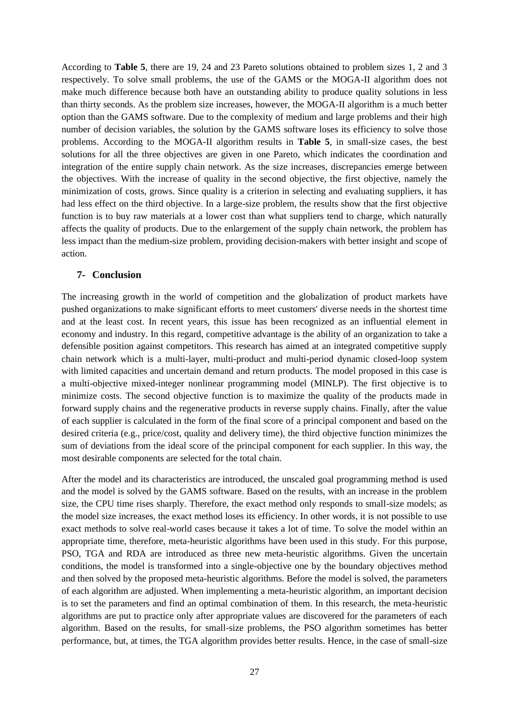According to **Table 5**, there are 19, 24 and 23 Pareto solutions obtained to problem sizes 1, 2 and 3 respectively. To solve small problems, the use of the GAMS or the MOGA-II algorithm does not make much difference because both have an outstanding ability to produce quality solutions in less than thirty seconds. As the problem size increases, however, the MOGA-II algorithm is a much better option than the GAMS software. Due to the complexity of medium and large problems and their high number of decision variables, the solution by the GAMS software loses its efficiency to solve those problems. According to the MOGA-II algorithm results in **Table 5**, in small-size cases, the best solutions for all the three objectives are given in one Pareto, which indicates the coordination and integration of the entire supply chain network. As the size increases, discrepancies emerge between the objectives. With the increase of quality in the second objective, the first objective, namely the minimization of costs, grows. Since quality is a criterion in selecting and evaluating suppliers, it has had less effect on the third objective. In a large-size problem, the results show that the first objective function is to buy raw materials at a lower cost than what suppliers tend to charge, which naturally affects the quality of products. Due to the enlargement of the supply chain network, the problem has less impact than the medium-size problem, providing decision-makers with better insight and scope of action.

#### **7- Conclusion**

The increasing growth in the world of competition and the globalization of product markets have pushed organizations to make significant efforts to meet customers' diverse needs in the shortest time and at the least cost. In recent years, this issue has been recognized as an influential element in economy and industry. In this regard, competitive advantage is the ability of an organization to take a defensible position against competitors. This research has aimed at an integrated competitive supply chain network which is a multi-layer, multi-product and multi-period dynamic closed-loop system with limited capacities and uncertain demand and return products. The model proposed in this case is a multi-objective mixed-integer nonlinear programming model (MINLP). The first objective is to minimize costs. The second objective function is to maximize the quality of the products made in forward supply chains and the regenerative products in reverse supply chains. Finally, after the value of each supplier is calculated in the form of the final score of a principal component and based on the desired criteria (e.g., price/cost, quality and delivery time), the third objective function minimizes the sum of deviations from the ideal score of the principal component for each supplier. In this way, the most desirable components are selected for the total chain.

After the model and its characteristics are introduced, the unscaled goal programming method is used and the model is solved by the GAMS software. Based on the results, with an increase in the problem size, the CPU time rises sharply. Therefore, the exact method only responds to small-size models; as the model size increases, the exact method loses its efficiency. In other words, it is not possible to use exact methods to solve real-world cases because it takes a lot of time. To solve the model within an appropriate time, therefore, meta-heuristic algorithms have been used in this study. For this purpose, PSO, TGA and RDA are introduced as three new meta-heuristic algorithms. Given the uncertain conditions, the model is transformed into a single-objective one by the boundary objectives method and then solved by the proposed meta-heuristic algorithms. Before the model is solved, the parameters of each algorithm are adjusted. When implementing a meta-heuristic algorithm, an important decision is to set the parameters and find an optimal combination of them. In this research, the meta-heuristic algorithms are put to practice only after appropriate values are discovered for the parameters of each algorithm. Based on the results, for small-size problems, the PSO algorithm sometimes has better performance, but, at times, the TGA algorithm provides better results. Hence, in the case of small-size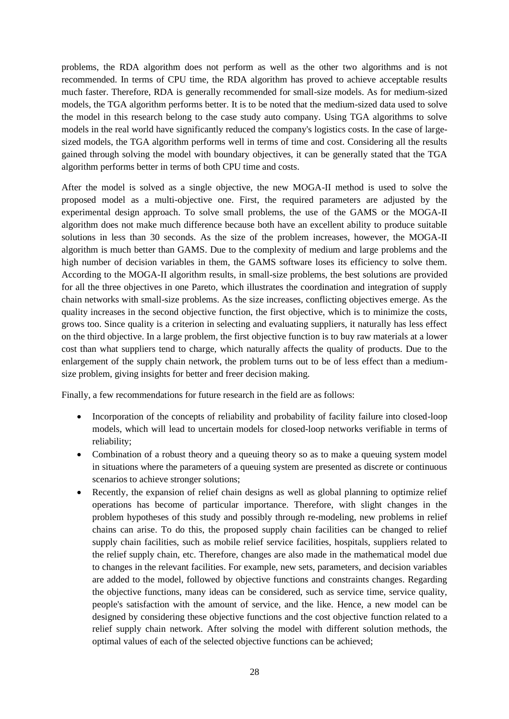problems, the RDA algorithm does not perform as well as the other two algorithms and is not recommended. In terms of CPU time, the RDA algorithm has proved to achieve acceptable results much faster. Therefore, RDA is generally recommended for small-size models. As for medium-sized models, the TGA algorithm performs better. It is to be noted that the medium-sized data used to solve the model in this research belong to the case study auto company. Using TGA algorithms to solve models in the real world have significantly reduced the company's logistics costs. In the case of largesized models, the TGA algorithm performs well in terms of time and cost. Considering all the results gained through solving the model with boundary objectives, it can be generally stated that the TGA algorithm performs better in terms of both CPU time and costs.

After the model is solved as a single objective, the new MOGA-II method is used to solve the proposed model as a multi-objective one. First, the required parameters are adjusted by the experimental design approach. To solve small problems, the use of the GAMS or the MOGA-II algorithm does not make much difference because both have an excellent ability to produce suitable solutions in less than 30 seconds. As the size of the problem increases, however, the MOGA-II algorithm is much better than GAMS. Due to the complexity of medium and large problems and the high number of decision variables in them, the GAMS software loses its efficiency to solve them. According to the MOGA-II algorithm results, in small-size problems, the best solutions are provided for all the three objectives in one Pareto, which illustrates the coordination and integration of supply chain networks with small-size problems. As the size increases, conflicting objectives emerge. As the quality increases in the second objective function, the first objective, which is to minimize the costs, grows too. Since quality is a criterion in selecting and evaluating suppliers, it naturally has less effect on the third objective. In a large problem, the first objective function is to buy raw materials at a lower cost than what suppliers tend to charge, which naturally affects the quality of products. Due to the enlargement of the supply chain network, the problem turns out to be of less effect than a mediumsize problem, giving insights for better and freer decision making.

Finally, a few recommendations for future research in the field are as follows:

- Incorporation of the concepts of reliability and probability of facility failure into closed-loop models, which will lead to uncertain models for closed-loop networks verifiable in terms of reliability;
- Combination of a robust theory and a queuing theory so as to make a queuing system model in situations where the parameters of a queuing system are presented as discrete or continuous scenarios to achieve stronger solutions;
- Recently, the expansion of relief chain designs as well as global planning to optimize relief operations has become of particular importance. Therefore, with slight changes in the problem hypotheses of this study and possibly through re-modeling, new problems in relief chains can arise. To do this, the proposed supply chain facilities can be changed to relief supply chain facilities, such as mobile relief service facilities, hospitals, suppliers related to the relief supply chain, etc. Therefore, changes are also made in the mathematical model due to changes in the relevant facilities. For example, new sets, parameters, and decision variables are added to the model, followed by objective functions and constraints changes. Regarding the objective functions, many ideas can be considered, such as service time, service quality, people's satisfaction with the amount of service, and the like. Hence, a new model can be designed by considering these objective functions and the cost objective function related to a relief supply chain network. After solving the model with different solution methods, the optimal values of each of the selected objective functions can be achieved;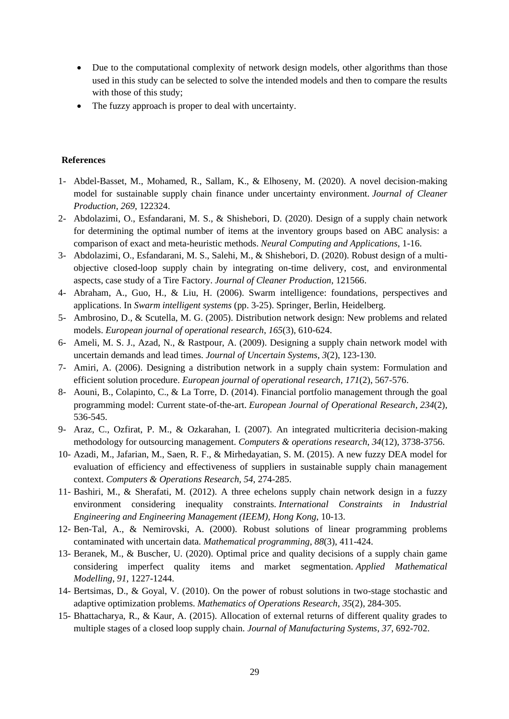- Due to the computational complexity of network design models, other algorithms than those used in this study can be selected to solve the intended models and then to compare the results with those of this study;
- The fuzzy approach is proper to deal with uncertainty.

# **References**

- 1- Abdel-Basset, M., Mohamed, R., Sallam, K., & Elhoseny, M. (2020). A novel decision-making model for sustainable supply chain finance under uncertainty environment. *Journal of Cleaner Production*, *269*, 122324.
- 2- Abdolazimi, O., Esfandarani, M. S., & Shishebori, D. (2020). Design of a supply chain network for determining the optimal number of items at the inventory groups based on ABC analysis: a comparison of exact and meta-heuristic methods. *Neural Computing and Applications*, 1-16.
- 3- Abdolazimi, O., Esfandarani, M. S., Salehi, M., & Shishebori, D. (2020). Robust design of a multiobjective closed-loop supply chain by integrating on-time delivery, cost, and environmental aspects, case study of a Tire Factory. *Journal of Cleaner Production*, 121566.
- 4- Abraham, A., Guo, H., & Liu, H. (2006). Swarm intelligence: foundations, perspectives and applications. In *Swarm intelligent systems* (pp. 3-25). Springer, Berlin, Heidelberg.
- 5- Ambrosino, D., & Scutella, M. G. (2005). Distribution network design: New problems and related models. *European journal of operational research*, *165*(3), 610-624.
- 6- Ameli, M. S. J., Azad, N., & Rastpour, A. (2009). Designing a supply chain network model with uncertain demands and lead times. *Journal of Uncertain Systems*, *3*(2), 123-130.
- 7- Amiri, A. (2006). Designing a distribution network in a supply chain system: Formulation and efficient solution procedure. *European journal of operational research*, *171*(2), 567-576.
- 8- Aouni, B., Colapinto, C., & La Torre, D. (2014). Financial portfolio management through the goal programming model: Current state-of-the-art. *European Journal of Operational Research*, *234*(2), 536-545.
- 9- Araz, C., Ozfirat, P. M., & Ozkarahan, I. (2007). An integrated multicriteria decision-making methodology for outsourcing management. *Computers & operations research*, *34*(12), 3738-3756.
- 10- Azadi, M., Jafarian, M., Saen, R. F., & Mirhedayatian, S. M. (2015). A new fuzzy DEA model for evaluation of efficiency and effectiveness of suppliers in sustainable supply chain management context. *Computers & Operations Research*, *54*, 274-285.
- 11- Bashiri, M., & Sherafati, M. (2012). A three echelons supply chain network design in a fuzzy environment considering inequality constraints. *International Constraints in Industrial Engineering and Engineering Management (IEEM), Hong Kong*, 10-13.
- 12- Ben-Tal, A., & Nemirovski, A. (2000). Robust solutions of linear programming problems contaminated with uncertain data. *Mathematical programming*, *88*(3), 411-424.
- 13- Beranek, M., & Buscher, U. (2020). Optimal price and quality decisions of a supply chain game considering imperfect quality items and market segmentation. *Applied Mathematical Modelling*, *91*, 1227-1244.
- 14- Bertsimas, D., & Goyal, V. (2010). On the power of robust solutions in two-stage stochastic and adaptive optimization problems. *Mathematics of Operations Research*, *35*(2), 284-305.
- 15- Bhattacharya, R., & Kaur, A. (2015). Allocation of external returns of different quality grades to multiple stages of a closed loop supply chain. *Journal of Manufacturing Systems*, *37*, 692-702.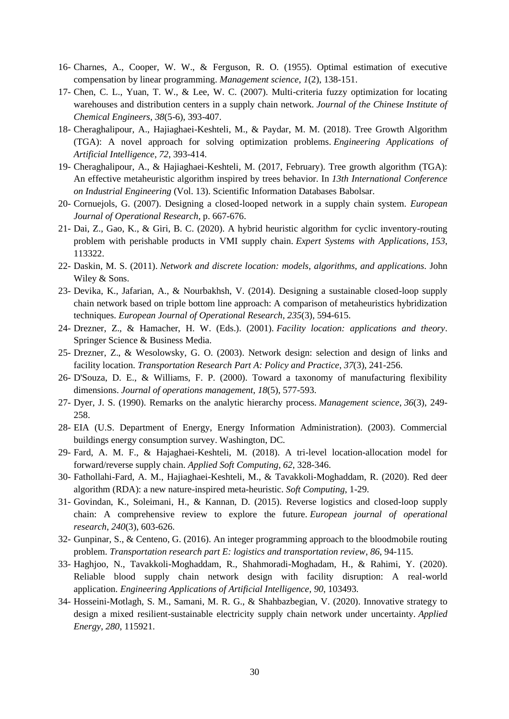- 16- Charnes, A., Cooper, W. W., & Ferguson, R. O. (1955). Optimal estimation of executive compensation by linear programming. *Management science*, *1*(2), 138-151.
- 17- Chen, C. L., Yuan, T. W., & Lee, W. C. (2007). Multi-criteria fuzzy optimization for locating warehouses and distribution centers in a supply chain network. *Journal of the Chinese Institute of Chemical Engineers*, *38*(5-6), 393-407.
- 18- Cheraghalipour, A., Hajiaghaei-Keshteli, M., & Paydar, M. M. (2018). Tree Growth Algorithm (TGA): A novel approach for solving optimization problems. *Engineering Applications of Artificial Intelligence*, *72*, 393-414.
- 19- Cheraghalipour, A., & Hajiaghaei-Keshteli, M. (2017, February). Tree growth algorithm (TGA): An effective metaheuristic algorithm inspired by trees behavior. In *13th International Conference on Industrial Engineering* (Vol. 13). Scientific Information Databases Babolsar.
- 20- Cornuejols, G. (2007). Designing a closed-looped network in a supply chain system. *European Journal of Operational Research*, p. 667-676.
- 21- Dai, Z., Gao, K., & Giri, B. C. (2020). A hybrid heuristic algorithm for cyclic inventory-routing problem with perishable products in VMI supply chain. *Expert Systems with Applications*, *153*, 113322.
- 22- Daskin, M. S. (2011). *Network and discrete location: models, algorithms, and applications*. John Wiley & Sons.
- 23- Devika, K., Jafarian, A., & Nourbakhsh, V. (2014). Designing a sustainable closed-loop supply chain network based on triple bottom line approach: A comparison of metaheuristics hybridization techniques. *European Journal of Operational Research*, *235*(3), 594-615.
- 24- Drezner, Z., & Hamacher, H. W. (Eds.). (2001). *Facility location: applications and theory*. Springer Science & Business Media.
- 25- Drezner, Z., & Wesolowsky, G. O. (2003). Network design: selection and design of links and facility location. *Transportation Research Part A: Policy and Practice*, *37*(3), 241-256.
- 26- D'Souza, D. E., & Williams, F. P. (2000). Toward a taxonomy of manufacturing flexibility dimensions. *Journal of operations management*, *18*(5), 577-593.
- 27- Dyer, J. S. (1990). Remarks on the analytic hierarchy process. *Management science*, *36*(3), 249- 258.
- 28- EIA (U.S. Department of Energy, Energy Information Administration). (2003). Commercial buildings energy consumption survey. Washington, DC.
- 29- Fard, A. M. F., & Hajaghaei-Keshteli, M. (2018). A tri-level location-allocation model for forward/reverse supply chain. *Applied Soft Computing*, *62*, 328-346.
- 30- Fathollahi-Fard, A. M., Hajiaghaei-Keshteli, M., & Tavakkoli-Moghaddam, R. (2020). Red deer algorithm (RDA): a new nature-inspired meta-heuristic. *Soft Computing*, 1-29.
- 31- Govindan, K., Soleimani, H., & Kannan, D. (2015). Reverse logistics and closed-loop supply chain: A comprehensive review to explore the future. *European journal of operational research*, *240*(3), 603-626.
- 32- Gunpinar, S., & Centeno, G. (2016). An integer programming approach to the bloodmobile routing problem. *Transportation research part E: logistics and transportation review*, *86*, 94-115.
- 33- Haghjoo, N., Tavakkoli-Moghaddam, R., Shahmoradi-Moghadam, H., & Rahimi, Y. (2020). Reliable blood supply chain network design with facility disruption: A real-world application. *Engineering Applications of Artificial Intelligence*, *90*, 103493.
- 34- Hosseini-Motlagh, S. M., Samani, M. R. G., & Shahbazbegian, V. (2020). Innovative strategy to design a mixed resilient-sustainable electricity supply chain network under uncertainty. *Applied Energy*, *280*, 115921.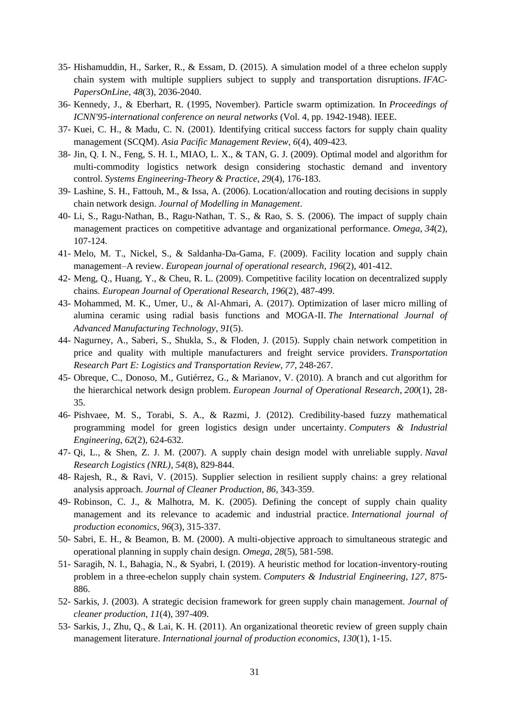- 35- Hishamuddin, H., Sarker, R., & Essam, D. (2015). A simulation model of a three echelon supply chain system with multiple suppliers subject to supply and transportation disruptions. *IFAC-PapersOnLine*, *48*(3), 2036-2040.
- 36- Kennedy, J., & Eberhart, R. (1995, November). Particle swarm optimization. In *Proceedings of ICNN'95-international conference on neural networks* (Vol. 4, pp. 1942-1948). IEEE.
- 37- Kuei, C. H., & Madu, C. N. (2001). Identifying critical success factors for supply chain quality management (SCQM). *Asia Pacific Management Review*, *6*(4), 409-423.
- 38- Jin, Q. I. N., Feng, S. H. I., MIAO, L. X., & TAN, G. J. (2009). Optimal model and algorithm for multi-commodity logistics network design considering stochastic demand and inventory control. *Systems Engineering-Theory & Practice*, *29*(4), 176-183.
- 39- Lashine, S. H., Fattouh, M., & Issa, A. (2006). Location/allocation and routing decisions in supply chain network design. *Journal of Modelling in Management*.
- 40- Li, S., Ragu-Nathan, B., Ragu-Nathan, T. S., & Rao, S. S. (2006). The impact of supply chain management practices on competitive advantage and organizational performance. *Omega*, *34*(2), 107-124.
- 41- Melo, M. T., Nickel, S., & Saldanha-Da-Gama, F. (2009). Facility location and supply chain management–A review. *European journal of operational research*, *196*(2), 401-412.
- 42- Meng, Q., Huang, Y., & Cheu, R. L. (2009). Competitive facility location on decentralized supply chains. *European Journal of Operational Research*, *196*(2), 487-499.
- 43- Mohammed, M. K., Umer, U., & Al-Ahmari, A. (2017). Optimization of laser micro milling of alumina ceramic using radial basis functions and MOGA-II. *The International Journal of Advanced Manufacturing Technology*, *91*(5).
- 44- Nagurney, A., Saberi, S., Shukla, S., & Floden, J. (2015). Supply chain network competition in price and quality with multiple manufacturers and freight service providers. *Transportation Research Part E: Logistics and Transportation Review*, *77*, 248-267.
- 45- Obreque, C., Donoso, M., Gutiérrez, G., & Marianov, V. (2010). A branch and cut algorithm for the hierarchical network design problem. *European Journal of Operational Research*, *200*(1), 28- 35.
- 46- Pishvaee, M. S., Torabi, S. A., & Razmi, J. (2012). Credibility-based fuzzy mathematical programming model for green logistics design under uncertainty. *Computers & Industrial Engineering*, *62*(2), 624-632.
- 47- Qi, L., & Shen, Z. J. M. (2007). A supply chain design model with unreliable supply. *Naval Research Logistics (NRL)*, *54*(8), 829-844.
- 48- Rajesh, R., & Ravi, V. (2015). Supplier selection in resilient supply chains: a grey relational analysis approach. *Journal of Cleaner Production*, *86*, 343-359.
- 49- Robinson, C. J., & Malhotra, M. K. (2005). Defining the concept of supply chain quality management and its relevance to academic and industrial practice. *International journal of production economics*, *96*(3), 315-337.
- 50- Sabri, E. H., & Beamon, B. M. (2000). A multi-objective approach to simultaneous strategic and operational planning in supply chain design. *Omega*, *28*(5), 581-598.
- 51- Saragih, N. I., Bahagia, N., & Syabri, I. (2019). A heuristic method for location-inventory-routing problem in a three-echelon supply chain system. *Computers & Industrial Engineering*, *127*, 875- 886.
- 52- Sarkis, J. (2003). A strategic decision framework for green supply chain management. *Journal of cleaner production*, *11*(4), 397-409.
- 53- Sarkis, J., Zhu, Q., & Lai, K. H. (2011). An organizational theoretic review of green supply chain management literature. *International journal of production economics*, *130*(1), 1-15.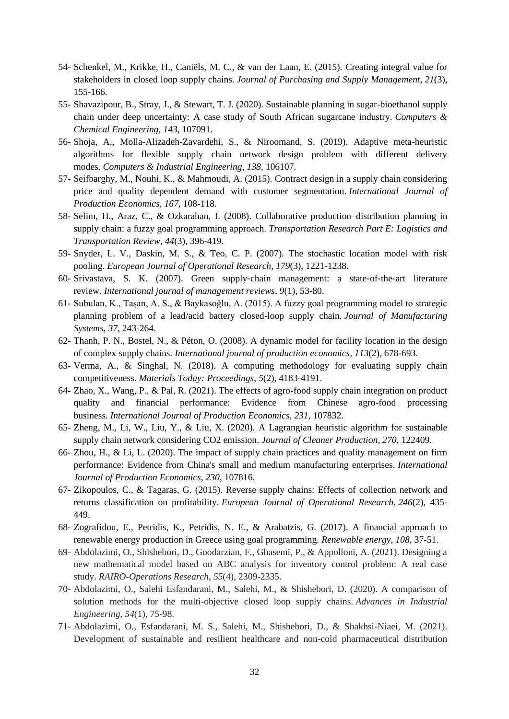- 54- Schenkel, M., Krikke, H., Caniëls, M. C., & van der Laan, E. (2015). Creating integral value for stakeholders in closed loop supply chains. *Journal of Purchasing and Supply Management*, *21*(3), 155-166.
- 55- Shavazipour, B., Stray, J., & Stewart, T. J. (2020). Sustainable planning in sugar-bioethanol supply chain under deep uncertainty: A case study of South African sugarcane industry. *Computers & Chemical Engineering*, *143*, 107091.
- 56- Shoja, A., Molla-Alizadeh-Zavardehi, S., & Niroomand, S. (2019). Adaptive meta-heuristic algorithms for flexible supply chain network design problem with different delivery modes. *Computers & Industrial Engineering*, *138*, 106107.
- 57- Seifbarghy, M., Nouhi, K., & Mahmoudi, A. (2015). Contract design in a supply chain considering price and quality dependent demand with customer segmentation. *International Journal of Production Economics*, *167*, 108-118.
- 58- Selim, H., Araz, C., & Ozkarahan, I. (2008). Collaborative production–distribution planning in supply chain: a fuzzy goal programming approach. *Transportation Research Part E: Logistics and Transportation Review*, *44*(3), 396-419.
- 59- Snyder, L. V., Daskin, M. S., & Teo, C. P. (2007). The stochastic location model with risk pooling. *European Journal of Operational Research*, *179*(3), 1221-1238.
- 60- Srivastava, S. K. (2007). Green supply‐chain management: a state‐of‐the‐art literature review. *International journal of management reviews*, *9*(1), 53-80.
- 61- Subulan, K., Taşan, A. S., & Baykasoğlu, A. (2015). A fuzzy goal programming model to strategic planning problem of a lead/acid battery closed-loop supply chain. *Journal of Manufacturing Systems*, *37*, 243-264.
- 62- Thanh, P. N., Bostel, N., & Péton, O. (2008). A dynamic model for facility location in the design of complex supply chains. *International journal of production economics*, *113*(2), 678-693.
- 63- Verma, A., & Singhal, N. (2018). A computing methodology for evaluating supply chain competitiveness. *Materials Today: Proceedings*, *5*(2), 4183-4191.
- 64- Zhao, X., Wang, P., & Pal, R. (2021). The effects of agro-food supply chain integration on product quality and financial performance: Evidence from Chinese agro-food processing business. *International Journal of Production Economics*, *231*, 107832.
- 65- Zheng, M., Li, W., Liu, Y., & Liu, X. (2020). A Lagrangian heuristic algorithm for sustainable supply chain network considering CO2 emission. *Journal of Cleaner Production*, *270*, 122409.
- 66- Zhou, H., & Li, L. (2020). The impact of supply chain practices and quality management on firm performance: Evidence from China's small and medium manufacturing enterprises. *International Journal of Production Economics*, *230*, 107816.
- 67- Zikopoulos, C., & Tagaras, G. (2015). Reverse supply chains: Effects of collection network and returns classification on profitability. *European Journal of Operational Research*, *246*(2), 435- 449.
- 68- Zografidou, E., Petridis, K., Petridis, N. E., & Arabatzis, G. (2017). A financial approach to renewable energy production in Greece using goal programming. *Renewable energy*, *108*, 37-51.
- 69- Abdolazimi, O., Shishebori, D., Goodarzian, F., Ghasemi, P., & Appolloni, A. (2021). Designing a new mathematical model based on ABC analysis for inventory control problem: A real case study. *RAIRO-Operations Research*, *55*(4), 2309-2335.
- 70- Abdolazimi, O., Salehi Esfandarani, M., Salehi, M., & Shishebori, D. (2020). A comparison of solution methods for the multi-objective closed loop supply chains. *Advances in Industrial Engineering*, *54*(1), 75-98.
- 71- Abdolazimi, O., Esfandarani, M. S., Salehi, M., Shishebori, D., & Shakhsi-Niaei, M. (2021). Development of sustainable and resilient healthcare and non-cold pharmaceutical distribution